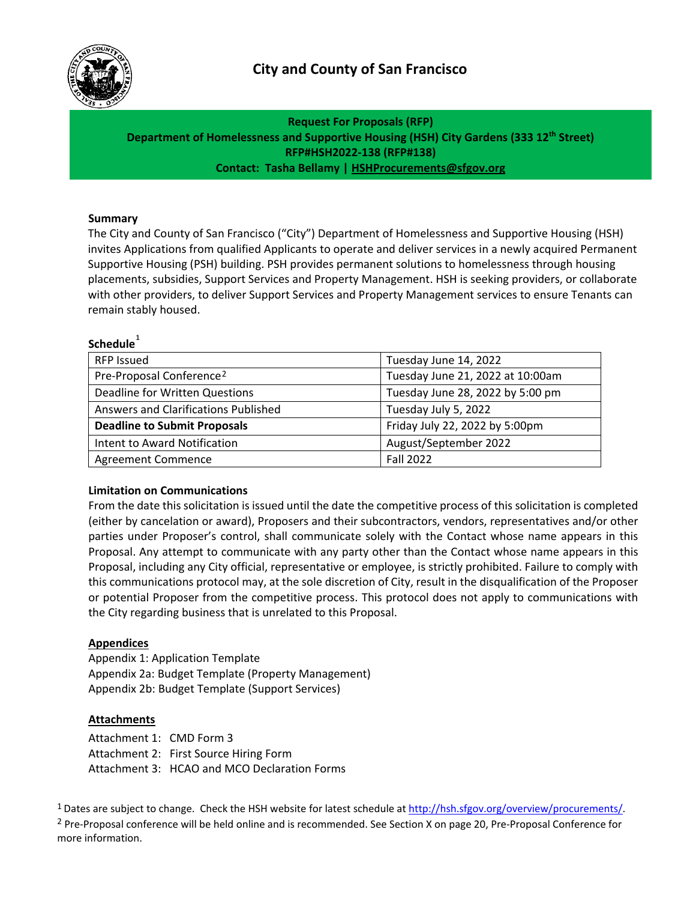<span id="page-0-3"></span><span id="page-0-2"></span>



**Request For Proposals (RFP) Department of Homelessness and Supportive Housing (HSH) City Gardens (333 12th Street) RFP#HSH2022-138 (RFP#138) Contact: Tasha Bellamy | [HSHProcurements@sfgov.org](mailto:robert.j.mccarthy@sfgov.org)**

#### **Summary**

The City and County of San Francisco ("City") Department of Homelessness and Supportive Housing (HSH) invites Applications from qualified Applicants to operate and deliver services in a newly acquired Permanent Supportive Housing (PSH) building. PSH provides permanent solutions to homelessness through housing placements, subsidies, Support Services and Property Management. HSH is seeking providers, or collaborate with other providers, to deliver Support Services and Property Management services to ensure Tenants can remain stably housed.

# **Schedule[1](#page-0-0)**

| <b>RFP Issued</b>                    | Tuesday June 14, 2022            |
|--------------------------------------|----------------------------------|
| Pre-Proposal Conference <sup>2</sup> | Tuesday June 21, 2022 at 10:00am |
| Deadline for Written Questions       | Tuesday June 28, 2022 by 5:00 pm |
| Answers and Clarifications Published | Tuesday July 5, 2022             |
| <b>Deadline to Submit Proposals</b>  | Friday July 22, 2022 by 5:00pm   |
| Intent to Award Notification         | August/September 2022            |
| <b>Agreement Commence</b>            | <b>Fall 2022</b>                 |

#### **Limitation on Communications**

From the date this solicitation is issued until the date the competitive process of this solicitation is completed (either by cancelation or award), Proposers and their subcontractors, vendors, representatives and/or other parties under Proposer's control, shall communicate solely with the Contact whose name appears in this Proposal. Any attempt to communicate with any party other than the Contact whose name appears in this Proposal, including any City official, representative or employee, is strictly prohibited. Failure to comply with this communications protocol may, at the sole discretion of City, result in the disqualification of the Proposer or potential Proposer from the competitive process. This protocol does not apply to communications with the City regarding business that is unrelated to this Proposal.

#### **Appendices**

Appendix 1: Application Template Appendix 2a: Budget Template (Property Management) Appendix 2b: Budget Template (Support Services)

#### **Attachments**

Attachment 1: CMD Form 3 Attachment 2: First Source Hiring Form Attachment 3: HCAO and MCO Declaration Forms

<span id="page-0-1"></span><span id="page-0-0"></span><sup>1</sup> Dates are subject to change. Check the HSH website for latest schedule a[t http://hsh.sfgov.org/overview/procurements/.](http://hsh.sfgov.org/overview/procurements/) <sup>2</sup> Pre-Proposal conference will be held online and is recommended. See Section X on page 20, Pre-Proposal Conference for more information.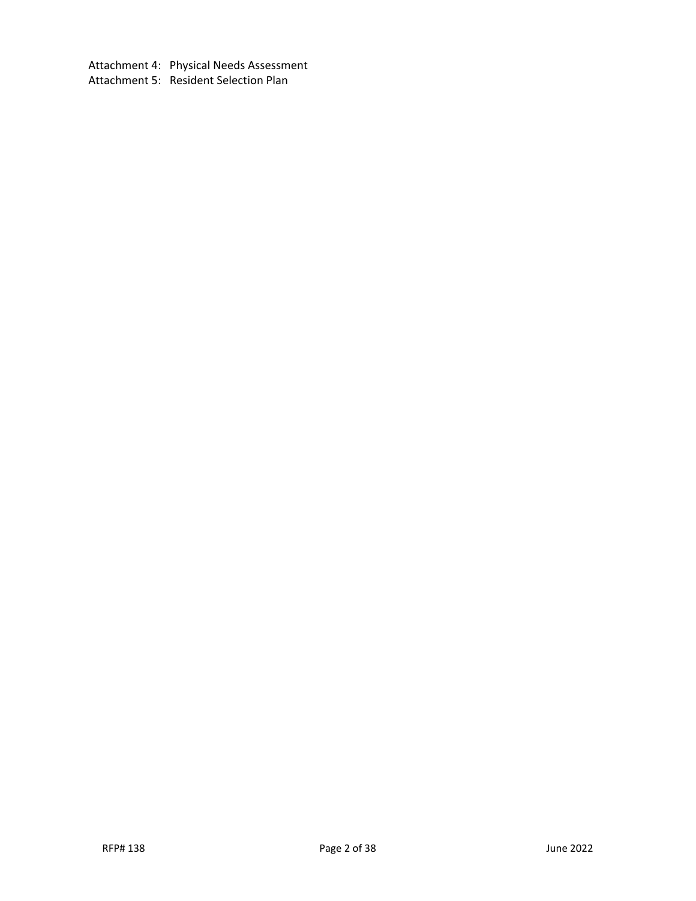Attachment 4: Physical Needs Assessment Attachment 5: Resident Selection Plan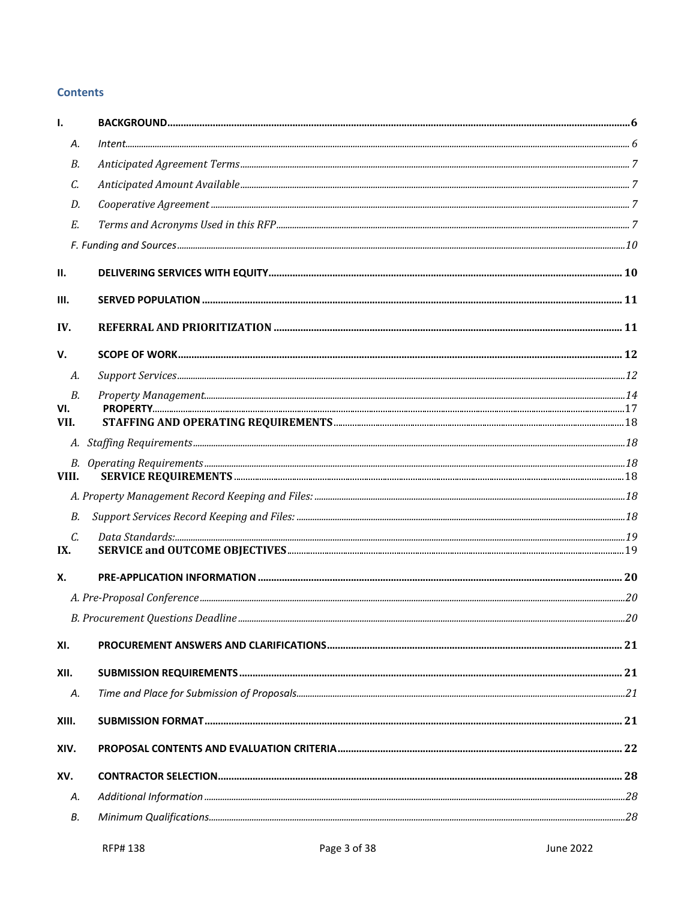# **Contents**

| Ī.                   |  |
|----------------------|--|
| А.                   |  |
| В.                   |  |
| С.                   |  |
| D.                   |  |
| Е.                   |  |
|                      |  |
| П.                   |  |
| Ш.                   |  |
| IV.                  |  |
| V.                   |  |
| А.                   |  |
| <i>B.</i>            |  |
| VI.<br>VII.          |  |
|                      |  |
|                      |  |
| VIII.                |  |
|                      |  |
| В.                   |  |
| $\mathcal{C}$<br>IX. |  |
| Х.                   |  |
|                      |  |
|                      |  |
| XI.                  |  |
| XII.                 |  |
| А.                   |  |
| XIII.                |  |
| XIV.                 |  |
| XV.                  |  |
| А.                   |  |
| В.                   |  |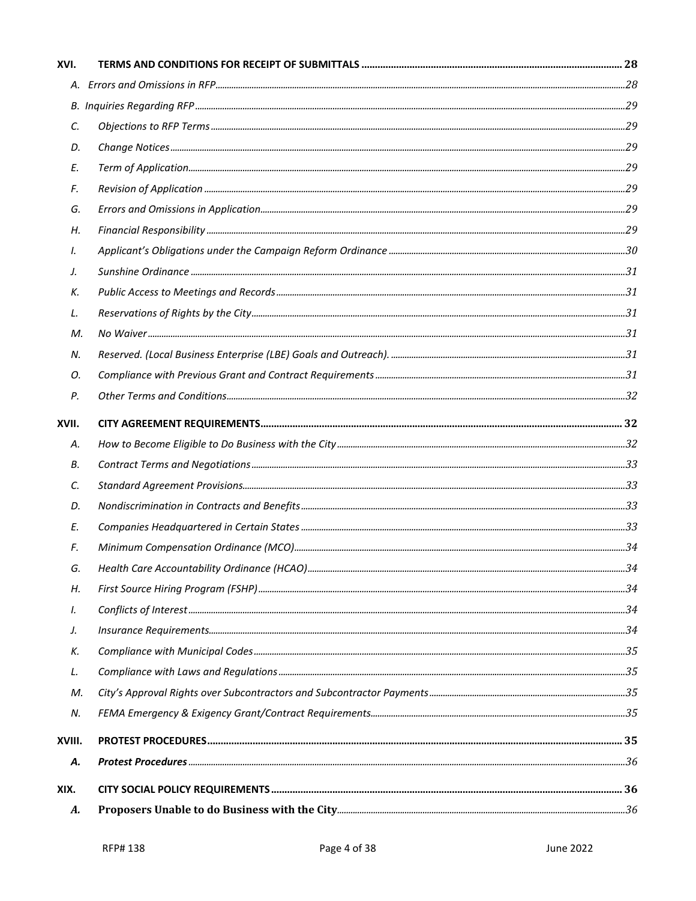| М.     |  |
|--------|--|
|        |  |
|        |  |
|        |  |
|        |  |
|        |  |
|        |  |
|        |  |
|        |  |
|        |  |
|        |  |
|        |  |
|        |  |
|        |  |
|        |  |
|        |  |
|        |  |
| М.     |  |
|        |  |
| XVIII. |  |
|        |  |
|        |  |
|        |  |
|        |  |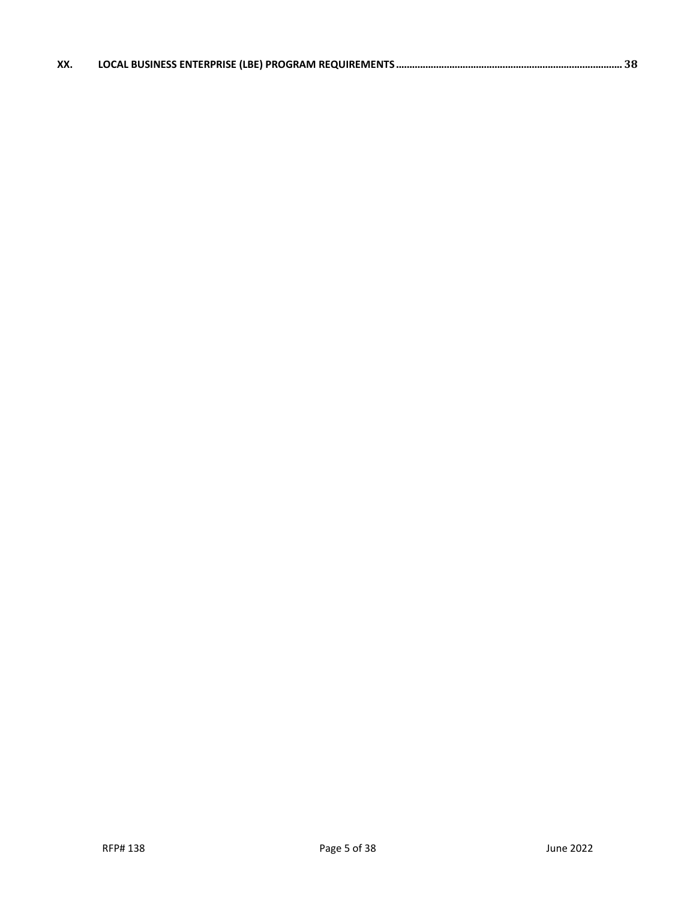| XX. |  |
|-----|--|
|     |  |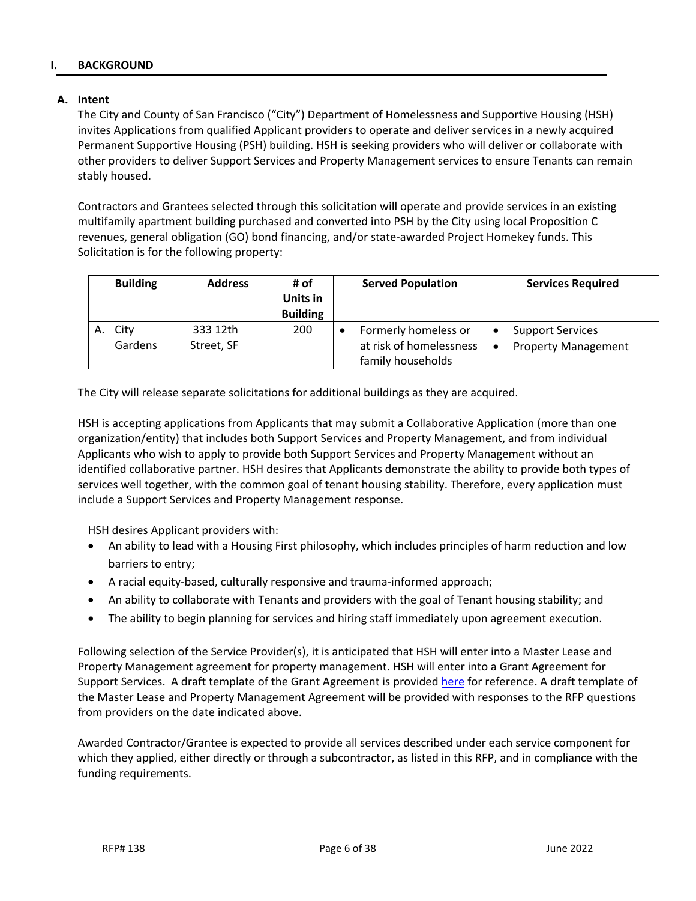### <span id="page-5-0"></span>**I. BACKGROUND**

#### <span id="page-5-1"></span>**A. Intent**

The City and County of San Francisco ("City") Department of Homelessness and Supportive Housing (HSH) invites Applications from qualified Applicant providers to operate and deliver services in a newly acquired Permanent Supportive Housing (PSH) building. HSH is seeking providers who will deliver or collaborate with other providers to deliver Support Services and Property Management services to ensure Tenants can remain stably housed.

Contractors and Grantees selected through this solicitation will operate and provide services in an existing multifamily apartment building purchased and converted into PSH by the City using local Proposition C revenues, general obligation (GO) bond financing, and/or state-awarded Project Homekey funds. This Solicitation is for the following property:

|    | <b>Building</b> | <b>Address</b>         | # of<br>Units in<br><b>Building</b> | <b>Served Population</b>                                             | <b>Services Required</b>                              |
|----|-----------------|------------------------|-------------------------------------|----------------------------------------------------------------------|-------------------------------------------------------|
| Α. | City<br>Gardens | 333 12th<br>Street, SF | 200                                 | Formerly homeless or<br>at risk of homelessness<br>family households | <b>Support Services</b><br><b>Property Management</b> |

The City will release separate solicitations for additional buildings as they are acquired.

HSH is accepting applications from Applicants that may submit a Collaborative Application (more than one organization/entity) that includes both Support Services and Property Management, and from individual Applicants who wish to apply to provide both Support Services and Property Management without an identified collaborative partner. HSH desires that Applicants demonstrate the ability to provide both types of services well together, with the common goal of tenant housing stability. Therefore, every application must include a Support Services and Property Management response.

HSH desires Applicant providers with:

- An ability to lead with a Housing First philosophy, which includes principles of harm reduction and low barriers to entry;
- A racial equity-based, culturally responsive and trauma-informed approach;
- An ability to collaborate with Tenants and providers with the goal of Tenant housing stability; and
- The ability to begin planning for services and hiring staff immediately upon agreement execution.

Following selection of the Service Provider(s), it is anticipated that HSH will enter into a Master Lease and Property Management agreement for property management. HSH will enter into a Grant Agreement for Support Services. A draft template of the Grant Agreement is provided [here](https://hsh.sfgov.org/wp-content/uploads/2019/11/G-100-Grant-Template-4-19-for-posting.pdf) for reference. A draft template of the Master Lease and Property Management Agreement will be provided with responses to the RFP questions from providers on the date indicated above.

Awarded Contractor/Grantee is expected to provide all services described under each service component for which they applied, either directly or through a subcontractor, as listed in this RFP, and in compliance with the funding requirements.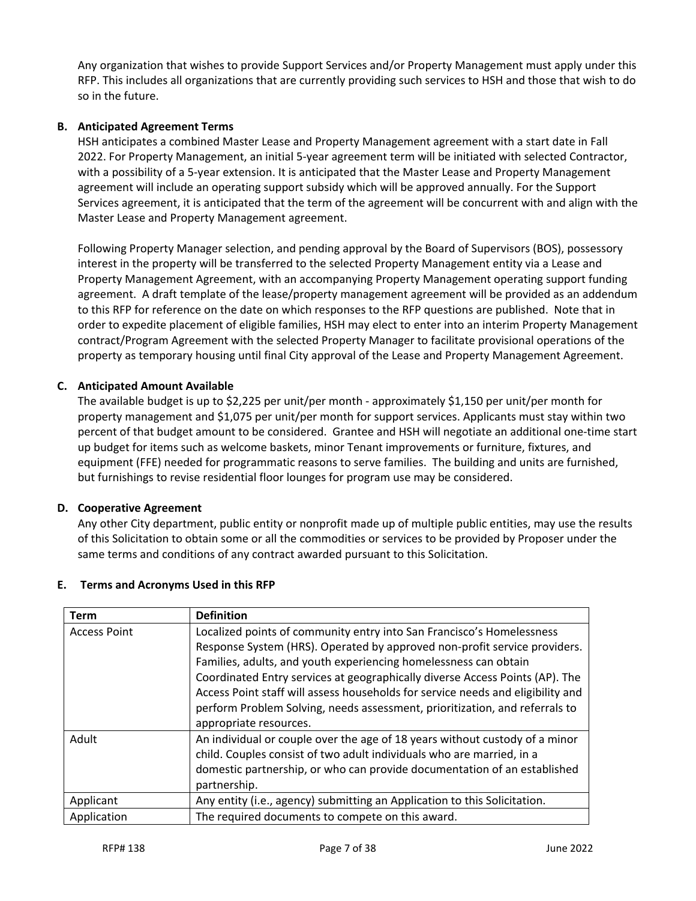Any organization that wishes to provide Support Services and/or Property Management must apply under this RFP. This includes all organizations that are currently providing such services to HSH and those that wish to do so in the future.

## <span id="page-6-0"></span>**B. Anticipated Agreement Terms**

HSH anticipates a combined Master Lease and Property Management agreement with a start date in Fall 2022. For Property Management, an initial 5-year agreement term will be initiated with selected Contractor, with a possibility of a 5-year extension. It is anticipated that the Master Lease and Property Management agreement will include an operating support subsidy which will be approved annually. For the Support Services agreement, it is anticipated that the term of the agreement will be concurrent with and align with the Master Lease and Property Management agreement.

Following Property Manager selection, and pending approval by the Board of Supervisors (BOS), possessory interest in the property will be transferred to the selected Property Management entity via a Lease and Property Management Agreement, with an accompanying Property Management operating support funding agreement. A draft template of the lease/property management agreement will be provided as an addendum to this RFP for reference on the date on which responses to the RFP questions are published. Note that in order to expedite placement of eligible families, HSH may elect to enter into an interim Property Management contract/Program Agreement with the selected Property Manager to facilitate provisional operations of the property as temporary housing until final City approval of the Lease and Property Management Agreement.

## <span id="page-6-1"></span>**C. Anticipated Amount Available**

The available budget is up to \$2,225 per unit/per month - approximately \$1,150 per unit/per month for property management and \$1,075 per unit/per month for support services. Applicants must stay within two percent of that budget amount to be considered. Grantee and HSH will negotiate an additional one-time start up budget for items such as welcome baskets, minor Tenant improvements or furniture, fixtures, and equipment (FFE) needed for programmatic reasons to serve families. The building and units are furnished, but furnishings to revise residential floor lounges for program use may be considered.

### <span id="page-6-2"></span>**D. Cooperative Agreement**

Any other City department, public entity or nonprofit made up of multiple public entities, may use the results of this Solicitation to obtain some or all the commodities or services to be provided by Proposer under the same terms and conditions of any contract awarded pursuant to this Solicitation.

| Term                | <b>Definition</b>                                                               |
|---------------------|---------------------------------------------------------------------------------|
| <b>Access Point</b> | Localized points of community entry into San Francisco's Homelessness           |
|                     | Response System (HRS). Operated by approved non-profit service providers.       |
|                     | Families, adults, and youth experiencing homelessness can obtain                |
|                     | Coordinated Entry services at geographically diverse Access Points (AP). The    |
|                     | Access Point staff will assess households for service needs and eligibility and |
|                     | perform Problem Solving, needs assessment, prioritization, and referrals to     |
|                     | appropriate resources.                                                          |
| Adult               | An individual or couple over the age of 18 years without custody of a minor     |
|                     | child. Couples consist of two adult individuals who are married, in a           |
|                     | domestic partnership, or who can provide documentation of an established        |
|                     | partnership.                                                                    |
| Applicant           | Any entity (i.e., agency) submitting an Application to this Solicitation.       |
| Application         | The required documents to compete on this award.                                |

### <span id="page-6-3"></span>**E. Terms and Acronyms Used in this RFP**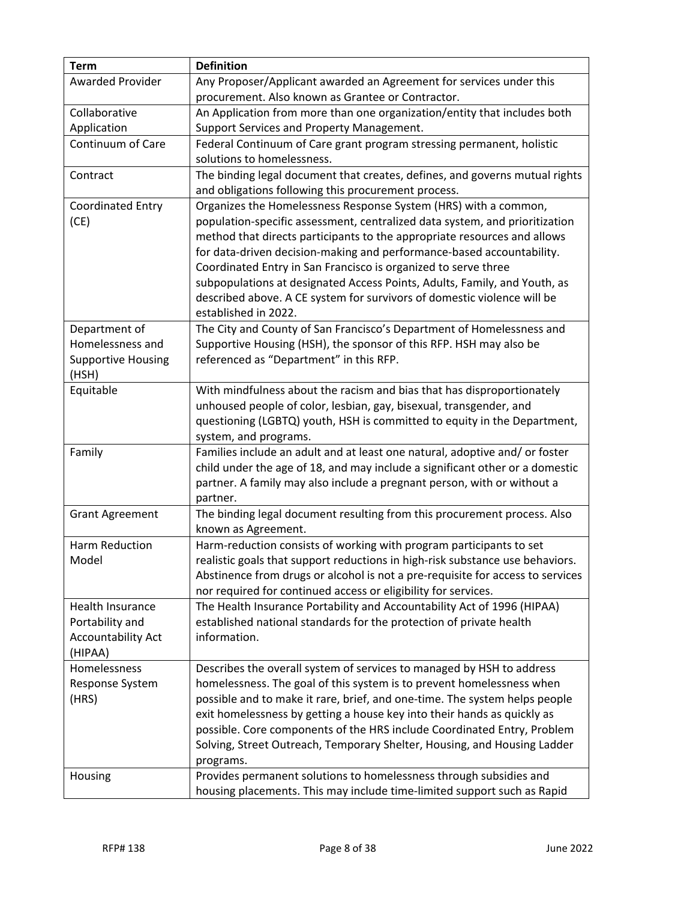| <b>Term</b>                          | <b>Definition</b>                                                                   |
|--------------------------------------|-------------------------------------------------------------------------------------|
| <b>Awarded Provider</b>              | Any Proposer/Applicant awarded an Agreement for services under this                 |
|                                      | procurement. Also known as Grantee or Contractor.                                   |
| Collaborative                        | An Application from more than one organization/entity that includes both            |
| Application                          | Support Services and Property Management.                                           |
| Continuum of Care                    | Federal Continuum of Care grant program stressing permanent, holistic               |
|                                      | solutions to homelessness.                                                          |
| Contract                             | The binding legal document that creates, defines, and governs mutual rights         |
|                                      | and obligations following this procurement process.                                 |
| <b>Coordinated Entry</b>             | Organizes the Homelessness Response System (HRS) with a common,                     |
| (CE)                                 | population-specific assessment, centralized data system, and prioritization         |
|                                      | method that directs participants to the appropriate resources and allows            |
|                                      | for data-driven decision-making and performance-based accountability.               |
|                                      | Coordinated Entry in San Francisco is organized to serve three                      |
|                                      | subpopulations at designated Access Points, Adults, Family, and Youth, as           |
|                                      | described above. A CE system for survivors of domestic violence will be             |
|                                      | established in 2022.                                                                |
| Department of                        | The City and County of San Francisco's Department of Homelessness and               |
| Homelessness and                     | Supportive Housing (HSH), the sponsor of this RFP. HSH may also be                  |
| <b>Supportive Housing</b>            | referenced as "Department" in this RFP.                                             |
| (HSH)                                |                                                                                     |
| Equitable                            | With mindfulness about the racism and bias that has disproportionately              |
|                                      | unhoused people of color, lesbian, gay, bisexual, transgender, and                  |
|                                      | questioning (LGBTQ) youth, HSH is committed to equity in the Department,            |
|                                      | system, and programs.                                                               |
| Family                               | Families include an adult and at least one natural, adoptive and/ or foster         |
|                                      | child under the age of 18, and may include a significant other or a domestic        |
|                                      | partner. A family may also include a pregnant person, with or without a             |
|                                      | partner.                                                                            |
| <b>Grant Agreement</b>               | The binding legal document resulting from this procurement process. Also            |
|                                      | known as Agreement.                                                                 |
| Harm Reduction                       | Harm-reduction consists of working with program participants to set                 |
| Model                                | realistic goals that support reductions in high-risk substance use behaviors.       |
|                                      | Abstinence from drugs or alcohol is not a pre-requisite for access to services      |
|                                      | nor required for continued access or eligibility for services.                      |
| Health Insurance                     | The Health Insurance Portability and Accountability Act of 1996 (HIPAA)             |
| Portability and                      | established national standards for the protection of private health<br>information. |
| <b>Accountability Act</b><br>(HIPAA) |                                                                                     |
| Homelessness                         | Describes the overall system of services to managed by HSH to address               |
| Response System                      | homelessness. The goal of this system is to prevent homelessness when               |
| (HRS)                                | possible and to make it rare, brief, and one-time. The system helps people          |
|                                      | exit homelessness by getting a house key into their hands as quickly as             |
|                                      | possible. Core components of the HRS include Coordinated Entry, Problem             |
|                                      | Solving, Street Outreach, Temporary Shelter, Housing, and Housing Ladder            |
|                                      | programs.                                                                           |
| Housing                              | Provides permanent solutions to homelessness through subsidies and                  |
|                                      | housing placements. This may include time-limited support such as Rapid             |
|                                      |                                                                                     |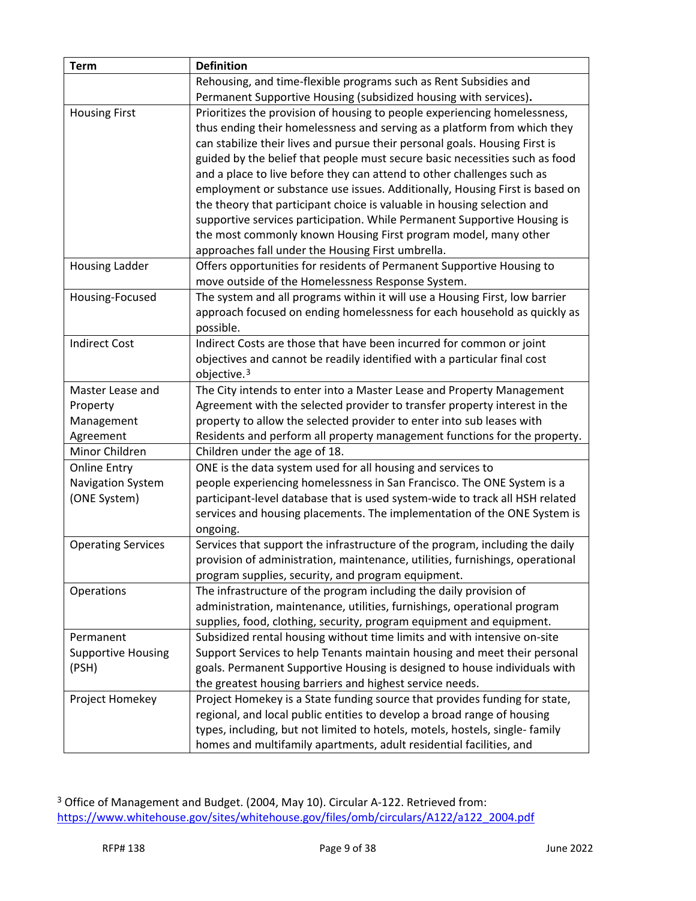| <b>Term</b>                       | <b>Definition</b>                                                                                                                     |
|-----------------------------------|---------------------------------------------------------------------------------------------------------------------------------------|
|                                   | Rehousing, and time-flexible programs such as Rent Subsidies and                                                                      |
|                                   | Permanent Supportive Housing (subsidized housing with services).                                                                      |
| <b>Housing First</b>              | Prioritizes the provision of housing to people experiencing homelessness,                                                             |
|                                   | thus ending their homelessness and serving as a platform from which they                                                              |
|                                   | can stabilize their lives and pursue their personal goals. Housing First is                                                           |
|                                   | guided by the belief that people must secure basic necessities such as food                                                           |
|                                   | and a place to live before they can attend to other challenges such as                                                                |
|                                   | employment or substance use issues. Additionally, Housing First is based on                                                           |
|                                   | the theory that participant choice is valuable in housing selection and                                                               |
|                                   | supportive services participation. While Permanent Supportive Housing is                                                              |
|                                   | the most commonly known Housing First program model, many other                                                                       |
|                                   | approaches fall under the Housing First umbrella.                                                                                     |
| <b>Housing Ladder</b>             | Offers opportunities for residents of Permanent Supportive Housing to                                                                 |
|                                   | move outside of the Homelessness Response System.                                                                                     |
| Housing-Focused                   | The system and all programs within it will use a Housing First, low barrier                                                           |
|                                   | approach focused on ending homelessness for each household as quickly as                                                              |
|                                   | possible.                                                                                                                             |
| <b>Indirect Cost</b>              | Indirect Costs are those that have been incurred for common or joint                                                                  |
|                                   | objectives and cannot be readily identified with a particular final cost                                                              |
|                                   | objective. <sup>3</sup>                                                                                                               |
| Master Lease and                  | The City intends to enter into a Master Lease and Property Management                                                                 |
| Property                          | Agreement with the selected provider to transfer property interest in the                                                             |
| Management                        | property to allow the selected provider to enter into sub leases with                                                                 |
| Agreement                         | Residents and perform all property management functions for the property.                                                             |
| Minor Children                    | Children under the age of 18.                                                                                                         |
| <b>Online Entry</b>               | ONE is the data system used for all housing and services to<br>people experiencing homelessness in San Francisco. The ONE System is a |
| Navigation System<br>(ONE System) | participant-level database that is used system-wide to track all HSH related                                                          |
|                                   | services and housing placements. The implementation of the ONE System is                                                              |
|                                   | ongoing.                                                                                                                              |
| <b>Operating Services</b>         | Services that support the infrastructure of the program, including the daily                                                          |
|                                   | provision of administration, maintenance, utilities, furnishings, operational                                                         |
|                                   | program supplies, security, and program equipment.                                                                                    |
| Operations                        | The infrastructure of the program including the daily provision of                                                                    |
|                                   | administration, maintenance, utilities, furnishings, operational program                                                              |
|                                   | supplies, food, clothing, security, program equipment and equipment.                                                                  |
| Permanent                         | Subsidized rental housing without time limits and with intensive on-site                                                              |
| <b>Supportive Housing</b>         | Support Services to help Tenants maintain housing and meet their personal                                                             |
| (PSH)                             | goals. Permanent Supportive Housing is designed to house individuals with                                                             |
|                                   | the greatest housing barriers and highest service needs.                                                                              |
| Project Homekey                   | Project Homekey is a State funding source that provides funding for state,                                                            |
|                                   | regional, and local public entities to develop a broad range of housing                                                               |
|                                   | types, including, but not limited to hotels, motels, hostels, single-family                                                           |
|                                   | homes and multifamily apartments, adult residential facilities, and                                                                   |

<span id="page-8-0"></span><sup>3</sup> Office of Management and Budget. (2004, May 10). Circular A-122. Retrieved from: [https://www.whitehouse.gov/sites/whitehouse.gov/files/omb/circulars/A122/a122\\_2004.pdf](https://www.whitehouse.gov/sites/whitehouse.gov/files/omb/circulars/A122/a122_2004.pdf)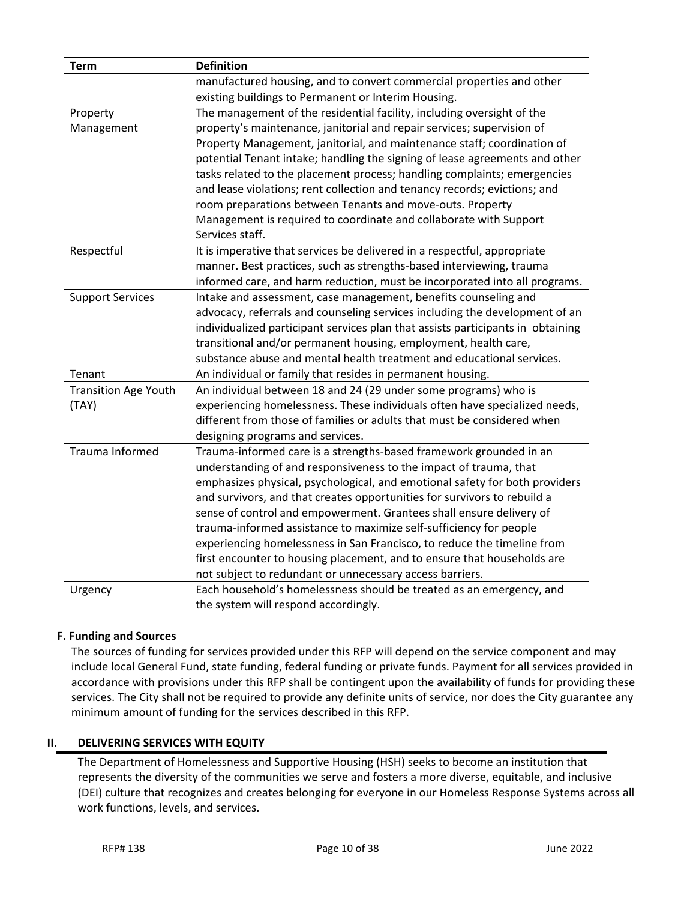| <b>Term</b>                 | <b>Definition</b>                                                               |
|-----------------------------|---------------------------------------------------------------------------------|
|                             | manufactured housing, and to convert commercial properties and other            |
|                             | existing buildings to Permanent or Interim Housing.                             |
| Property                    | The management of the residential facility, including oversight of the          |
| Management                  | property's maintenance, janitorial and repair services; supervision of          |
|                             | Property Management, janitorial, and maintenance staff; coordination of         |
|                             | potential Tenant intake; handling the signing of lease agreements and other     |
|                             | tasks related to the placement process; handling complaints; emergencies        |
|                             | and lease violations; rent collection and tenancy records; evictions; and       |
|                             | room preparations between Tenants and move-outs. Property                       |
|                             | Management is required to coordinate and collaborate with Support               |
|                             | Services staff.                                                                 |
| Respectful                  | It is imperative that services be delivered in a respectful, appropriate        |
|                             | manner. Best practices, such as strengths-based interviewing, trauma            |
|                             | informed care, and harm reduction, must be incorporated into all programs.      |
| <b>Support Services</b>     | Intake and assessment, case management, benefits counseling and                 |
|                             | advocacy, referrals and counseling services including the development of an     |
|                             | individualized participant services plan that assists participants in obtaining |
|                             | transitional and/or permanent housing, employment, health care,                 |
|                             | substance abuse and mental health treatment and educational services.           |
| Tenant                      | An individual or family that resides in permanent housing.                      |
| <b>Transition Age Youth</b> | An individual between 18 and 24 (29 under some programs) who is                 |
| (TAY)                       | experiencing homelessness. These individuals often have specialized needs,      |
|                             | different from those of families or adults that must be considered when         |
|                             | designing programs and services.                                                |
| Trauma Informed             | Trauma-informed care is a strengths-based framework grounded in an              |
|                             | understanding of and responsiveness to the impact of trauma, that               |
|                             | emphasizes physical, psychological, and emotional safety for both providers     |
|                             | and survivors, and that creates opportunities for survivors to rebuild a        |
|                             | sense of control and empowerment. Grantees shall ensure delivery of             |
|                             | trauma-informed assistance to maximize self-sufficiency for people              |
|                             | experiencing homelessness in San Francisco, to reduce the timeline from         |
|                             | first encounter to housing placement, and to ensure that households are         |
|                             | not subject to redundant or unnecessary access barriers.                        |
| Urgency                     | Each household's homelessness should be treated as an emergency, and            |
|                             | the system will respond accordingly.                                            |

# <span id="page-9-0"></span>**F. Funding and Sources**

 The sources of funding for services provided under this RFP will depend on the service component and may include local General Fund, state funding, federal funding or private funds. Payment for all services provided in accordance with provisions under this RFP shall be contingent upon the availability of funds for providing these services. The City shall not be required to provide any definite units of service, nor does the City guarantee any minimum amount of funding for the services described in this RFP.

### <span id="page-9-1"></span>**II. DELIVERING SERVICES WITH EQUITY**

The Department of Homelessness and Supportive Housing (HSH) seeks to become an institution that represents the diversity of the communities we serve and fosters a more diverse, equitable, and inclusive (DEI) culture that recognizes and creates belonging for everyone in our Homeless Response Systems across all work functions, levels, and services.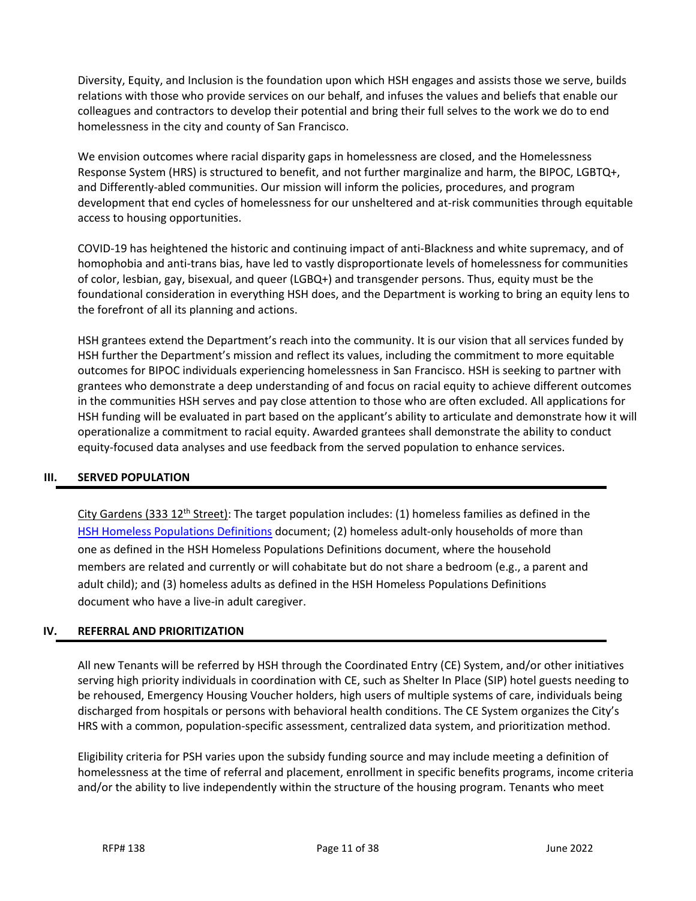Diversity, Equity, and Inclusion is the foundation upon which HSH engages and assists those we serve, builds relations with those who provide services on our behalf, and infuses the values and beliefs that enable our colleagues and contractors to develop their potential and bring their full selves to the work we do to end homelessness in the city and county of San Francisco.

We envision outcomes where racial disparity gaps in homelessness are closed, and the Homelessness Response System (HRS) is structured to benefit, and not further marginalize and harm, the BIPOC, LGBTQ+, and Differently-abled communities. Our mission will inform the policies, procedures, and program development that end cycles of homelessness for our unsheltered and at-risk communities through equitable access to housing opportunities.

COVID-19 has heightened the historic and continuing impact of anti-Blackness and white supremacy, and of homophobia and anti-trans bias, have led to vastly disproportionate levels of homelessness for communities of color, lesbian, gay, bisexual, and queer (LGBQ+) and transgender persons. Thus, equity must be the foundational consideration in everything HSH does, and the Department is working to bring an equity lens to the forefront of all its planning and actions.

HSH grantees extend the Department's reach into the community. It is our vision that all services funded by HSH further the Department's mission and reflect its values, including the commitment to more equitable outcomes for BIPOC individuals experiencing homelessness in San Francisco. HSH is seeking to partner with grantees who demonstrate a deep understanding of and focus on racial equity to achieve different outcomes in the communities HSH serves and pay close attention to those who are often excluded. All applications for HSH funding will be evaluated in part based on the applicant's ability to articulate and demonstrate how it will operationalize a commitment to racial equity. Awarded grantees shall demonstrate the ability to conduct equity-focused data analyses and use feedback from the served population to enhance services.

### <span id="page-10-0"></span>**III. SERVED POPULATION**

City Gardens (333 12<sup>th</sup> Street): The target population includes: (1) homeless families as defined in the [HSH Homeless Populations Definitions](https://hsh.sfgov.org/wp-content/uploads/2020/05/HSH-Definitions-Populations-San-Francisco-Connection-and-Homeless-Status.pdf) document; (2) homeless adult-only households of more than one as defined in the HSH Homeless Populations Definitions document, where the household members are related and currently or will cohabitate but do not share a bedroom (e.g., a parent and adult child); and (3) homeless adults as defined in the HSH Homeless Populations Definitions document who have a live-in adult caregiver.

### <span id="page-10-1"></span>**IV. REFERRAL AND PRIORITIZATION**

All new Tenants will be referred by HSH through the Coordinated Entry (CE) System, and/or other initiatives serving high priority individuals in coordination with CE, such as Shelter In Place (SIP) hotel guests needing to be rehoused, Emergency Housing Voucher holders, high users of multiple systems of care, individuals being discharged from hospitals or persons with behavioral health conditions. The CE System organizes the City's HRS with a common, population-specific assessment, centralized data system, and prioritization method.

Eligibility criteria for PSH varies upon the subsidy funding source and may include meeting a definition of homelessness at the time of referral and placement, enrollment in specific benefits programs, income criteria and/or the ability to live independently within the structure of the housing program. Tenants who meet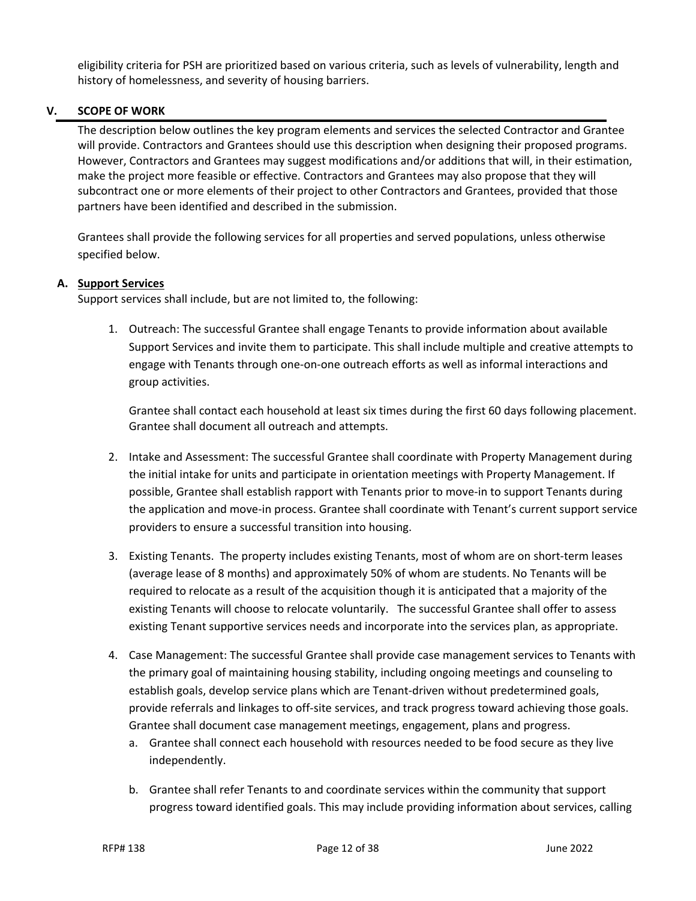eligibility criteria for PSH are prioritized based on various criteria, such as levels of vulnerability, length and history of homelessness, and severity of housing barriers.

## <span id="page-11-0"></span>**V. SCOPE OF WORK**

The description below outlines the key program elements and services the selected Contractor and Grantee will provide. Contractors and Grantees should use this description when designing their proposed programs. However, Contractors and Grantees may suggest modifications and/or additions that will, in their estimation, make the project more feasible or effective. Contractors and Grantees may also propose that they will subcontract one or more elements of their project to other Contractors and Grantees, provided that those partners have been identified and described in the submission.

Grantees shall provide the following services for all properties and served populations, unless otherwise specified below.

### <span id="page-11-1"></span>**A. Support Services**

Support services shall include, but are not limited to, the following:

1. Outreach: The successful Grantee shall engage Tenants to provide information about available Support Services and invite them to participate. This shall include multiple and creative attempts to engage with Tenants through one-on-one outreach efforts as well as informal interactions and group activities.

Grantee shall contact each household at least six times during the first 60 days following placement. Grantee shall document all outreach and attempts.

- 2. Intake and Assessment: The successful Grantee shall coordinate with Property Management during the initial intake for units and participate in orientation meetings with Property Management. If possible, Grantee shall establish rapport with Tenants prior to move-in to support Tenants during the application and move-in process. Grantee shall coordinate with Tenant's current support service providers to ensure a successful transition into housing.
- 3. Existing Tenants. The property includes existing Tenants, most of whom are on short-term leases (average lease of 8 months) and approximately 50% of whom are students. No Tenants will be required to relocate as a result of the acquisition though it is anticipated that a majority of the existing Tenants will choose to relocate voluntarily. The successful Grantee shall offer to assess existing Tenant supportive services needs and incorporate into the services plan, as appropriate.
- 4. Case Management: The successful Grantee shall provide case management services to Tenants with the primary goal of maintaining housing stability, including ongoing meetings and counseling to establish goals, develop service plans which are Tenant-driven without predetermined goals, provide referrals and linkages to off-site services, and track progress toward achieving those goals. Grantee shall document case management meetings, engagement, plans and progress.
	- a. Grantee shall connect each household with resources needed to be food secure as they live independently.
	- b. Grantee shall refer Tenants to and coordinate services within the community that support progress toward identified goals. This may include providing information about services, calling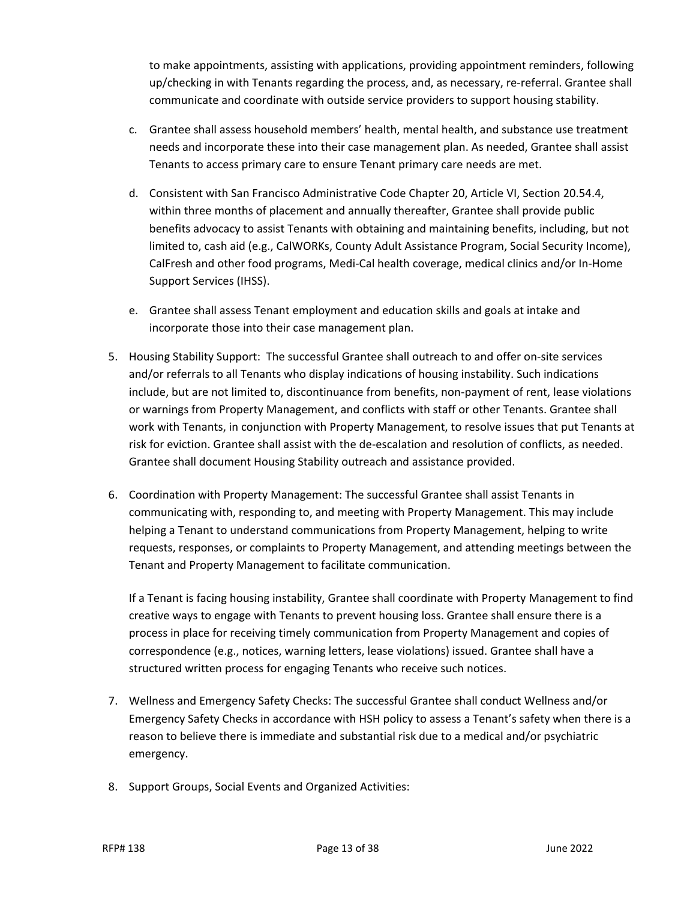to make appointments, assisting with applications, providing appointment reminders, following up/checking in with Tenants regarding the process, and, as necessary, re-referral. Grantee shall communicate and coordinate with outside service providers to support housing stability.

- c. Grantee shall assess household members' health, mental health, and substance use treatment needs and incorporate these into their case management plan. As needed, Grantee shall assist Tenants to access primary care to ensure Tenant primary care needs are met.
- d. Consistent with San Francisco Administrative Code Chapter 20, Article VI, Section 20.54.4, within three months of placement and annually thereafter, Grantee shall provide public benefits advocacy to assist Tenants with obtaining and maintaining benefits, including, but not limited to, cash aid (e.g., CalWORKs, County Adult Assistance Program, Social Security Income), CalFresh and other food programs, Medi-Cal health coverage, medical clinics and/or In-Home Support Services (IHSS).
- e. Grantee shall assess Tenant employment and education skills and goals at intake and incorporate those into their case management plan.
- 5. Housing Stability Support: The successful Grantee shall outreach to and offer on-site services and/or referrals to all Tenants who display indications of housing instability. Such indications include, but are not limited to, discontinuance from benefits, non-payment of rent, lease violations or warnings from Property Management, and conflicts with staff or other Tenants. Grantee shall work with Tenants, in conjunction with Property Management, to resolve issues that put Tenants at risk for eviction. Grantee shall assist with the de-escalation and resolution of conflicts, as needed. Grantee shall document Housing Stability outreach and assistance provided.
- 6. Coordination with Property Management: The successful Grantee shall assist Tenants in communicating with, responding to, and meeting with Property Management. This may include helping a Tenant to understand communications from Property Management, helping to write requests, responses, or complaints to Property Management, and attending meetings between the Tenant and Property Management to facilitate communication.

If a Tenant is facing housing instability, Grantee shall coordinate with Property Management to find creative ways to engage with Tenants to prevent housing loss. Grantee shall ensure there is a process in place for receiving timely communication from Property Management and copies of correspondence (e.g., notices, warning letters, lease violations) issued. Grantee shall have a structured written process for engaging Tenants who receive such notices.

- 7. Wellness and Emergency Safety Checks: The successful Grantee shall conduct Wellness and/or Emergency Safety Checks in accordance with HSH policy to assess a Tenant's safety when there is a reason to believe there is immediate and substantial risk due to a medical and/or psychiatric emergency.
- 8. Support Groups, Social Events and Organized Activities: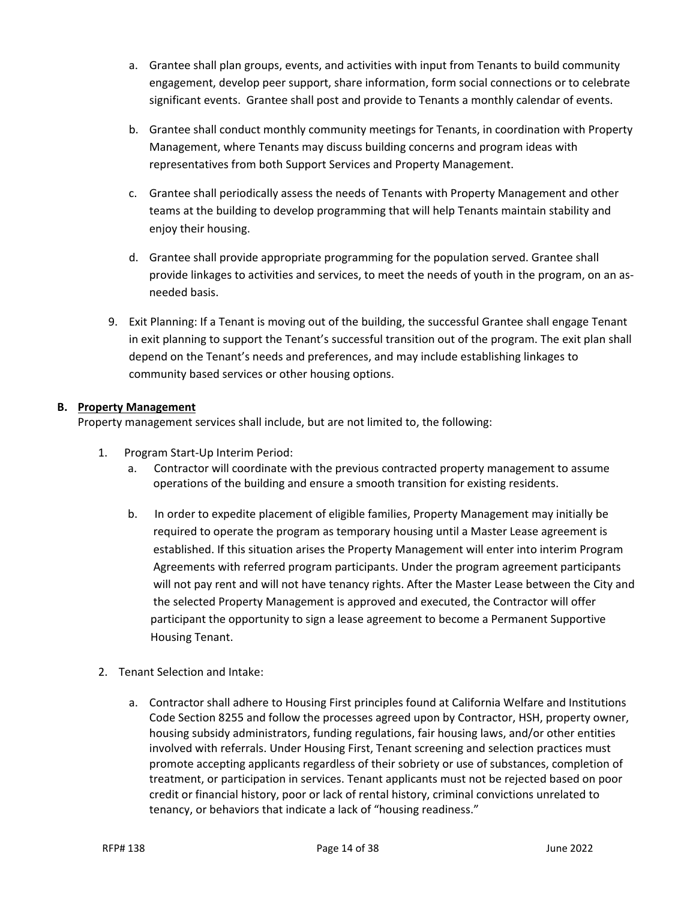- a. Grantee shall plan groups, events, and activities with input from Tenants to build community engagement, develop peer support, share information, form social connections or to celebrate significant events. Grantee shall post and provide to Tenants a monthly calendar of events.
- b. Grantee shall conduct monthly community meetings for Tenants, in coordination with Property Management, where Tenants may discuss building concerns and program ideas with representatives from both Support Services and Property Management.
- c. Grantee shall periodically assess the needs of Tenants with Property Management and other teams at the building to develop programming that will help Tenants maintain stability and enjoy their housing.
- d. Grantee shall provide appropriate programming for the population served. Grantee shall provide linkages to activities and services, to meet the needs of youth in the program, on an asneeded basis.
- 9. Exit Planning: If a Tenant is moving out of the building, the successful Grantee shall engage Tenant in exit planning to support the Tenant's successful transition out of the program. The exit plan shall depend on the Tenant's needs and preferences, and may include establishing linkages to community based services or other housing options.

# <span id="page-13-0"></span>**B. Property Management**

Property management services shall include, but are not limited to, the following:

- 1. Program Start-Up Interim Period:
	- a. Contractor will coordinate with the previous contracted property management to assume operations of the building and ensure a smooth transition for existing residents.
	- b. In order to expedite placement of eligible families, Property Management may initially be required to operate the program as temporary housing until a Master Lease agreement is established. If this situation arises the Property Management will enter into interim Program Agreements with referred program participants. Under the program agreement participants will not pay rent and will not have tenancy rights. After the Master Lease between the City and the selected Property Management is approved and executed, the Contractor will offer participant the opportunity to sign a lease agreement to become a Permanent Supportive Housing Tenant.
- 2. Tenant Selection and Intake:
	- a. Contractor shall adhere to Housing First principles found at California Welfare and Institutions Code Section 8255 and follow the processes agreed upon by Contractor, HSH, property owner, housing subsidy administrators, funding regulations, fair housing laws, and/or other entities involved with referrals. Under Housing First, Tenant screening and selection practices must promote accepting applicants regardless of their sobriety or use of substances, completion of treatment, or participation in services. Tenant applicants must not be rejected based on poor credit or financial history, poor or lack of rental history, criminal convictions unrelated to tenancy, or behaviors that indicate a lack of "housing readiness."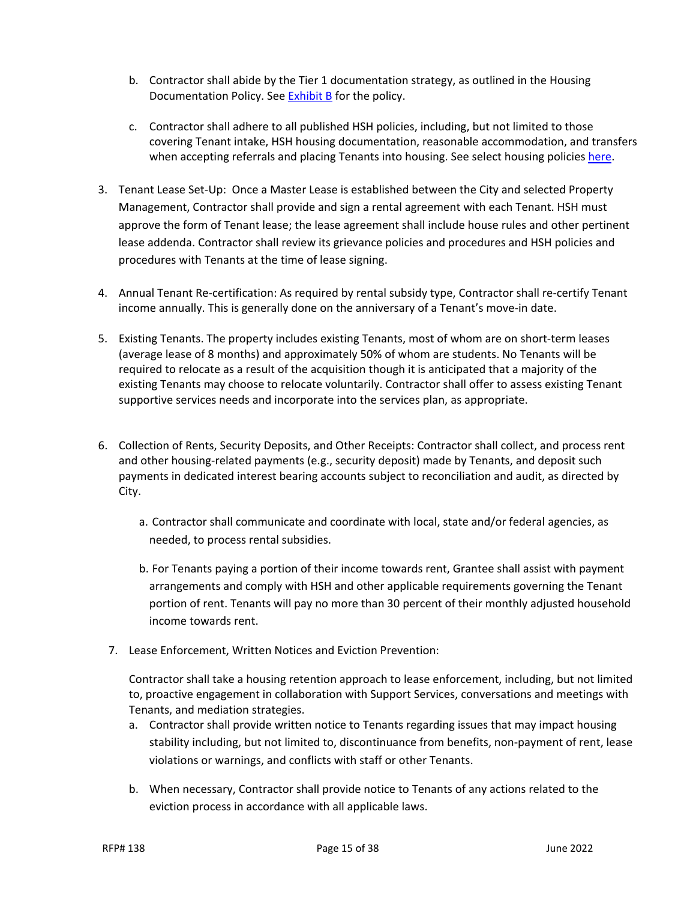- b. Contractor shall abide by the Tier 1 documentation strategy, as outlined in the Housing Documentation Policy. Se[e Exhibit B](https://www.bitfocus.com/hubfs/Rehousing%20Documentation%20Policy%20FINAL%20CLEAN%202.8.22.pdf?hsLang=en) for the policy.
- c. Contractor shall adhere to all published HSH policies, including, but not limited to those covering Tenant intake, HSH housing documentation, reasonable accommodation, and transfers when accepting referrals and placing Tenants into housing. See select housing policies [here.](https://dhsh.box.com/s/qudkzezbb2fuxqw7x50m14atcgnrifb2)
- 3. Tenant Lease Set-Up: Once a Master Lease is established between the City and selected Property Management, Contractor shall provide and sign a rental agreement with each Tenant. HSH must approve the form of Tenant lease; the lease agreement shall include house rules and other pertinent lease addenda. Contractor shall review its grievance policies and procedures and HSH policies and procedures with Tenants at the time of lease signing.
- 4. Annual Tenant Re-certification: As required by rental subsidy type, Contractor shall re-certify Tenant income annually. This is generally done on the anniversary of a Tenant's move-in date.
- 5. Existing Tenants. The property includes existing Tenants, most of whom are on short-term leases (average lease of 8 months) and approximately 50% of whom are students. No Tenants will be required to relocate as a result of the acquisition though it is anticipated that a majority of the existing Tenants may choose to relocate voluntarily. Contractor shall offer to assess existing Tenant supportive services needs and incorporate into the services plan, as appropriate.
- 6. Collection of Rents, Security Deposits, and Other Receipts: Contractor shall collect, and process rent and other housing-related payments (e.g., security deposit) made by Tenants, and deposit such payments in dedicated interest bearing accounts subject to reconciliation and audit, as directed by City.
	- a. Contractor shall communicate and coordinate with local, state and/or federal agencies, as needed, to process rental subsidies.
	- b. For Tenants paying a portion of their income towards rent, Grantee shall assist with payment arrangements and comply with HSH and other applicable requirements governing the Tenant portion of rent. Tenants will pay no more than 30 percent of their monthly adjusted household income towards rent.
	- 7. Lease Enforcement, Written Notices and Eviction Prevention:

Contractor shall take a housing retention approach to lease enforcement, including, but not limited to, proactive engagement in collaboration with Support Services, conversations and meetings with Tenants, and mediation strategies.

- a. Contractor shall provide written notice to Tenants regarding issues that may impact housing stability including, but not limited to, discontinuance from benefits, non-payment of rent, lease violations or warnings, and conflicts with staff or other Tenants.
- b. When necessary, Contractor shall provide notice to Tenants of any actions related to the eviction process in accordance with all applicable laws.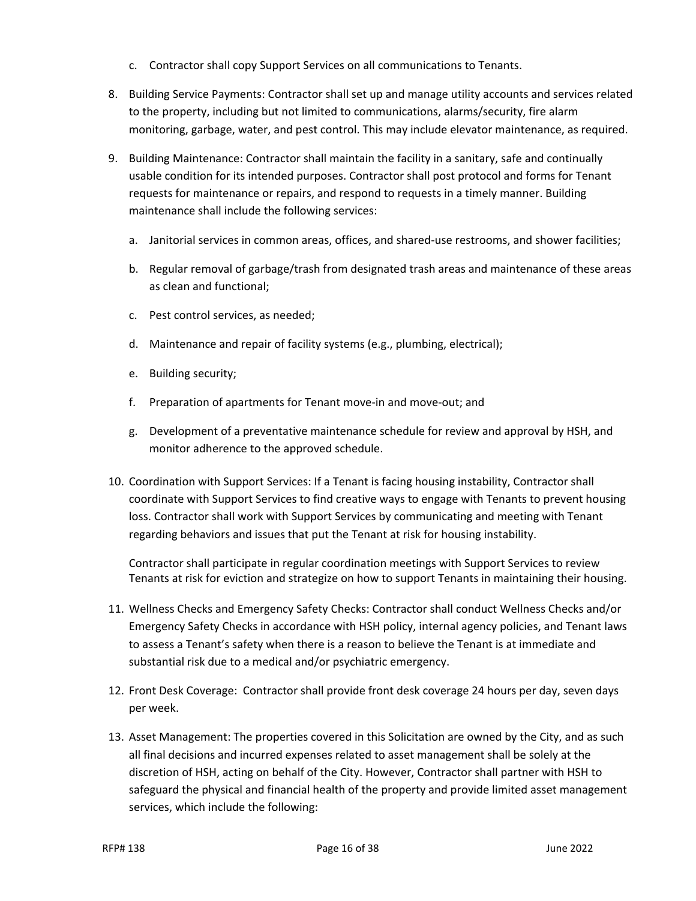- c. Contractor shall copy Support Services on all communications to Tenants.
- 8. Building Service Payments: Contractor shall set up and manage utility accounts and services related to the property, including but not limited to communications, alarms/security, fire alarm monitoring, garbage, water, and pest control. This may include elevator maintenance, as required.
- 9. Building Maintenance: Contractor shall maintain the facility in a sanitary, safe and continually usable condition for its intended purposes. Contractor shall post protocol and forms for Tenant requests for maintenance or repairs, and respond to requests in a timely manner. Building maintenance shall include the following services:
	- a. Janitorial services in common areas, offices, and shared-use restrooms, and shower facilities;
	- b. Regular removal of garbage/trash from designated trash areas and maintenance of these areas as clean and functional;
	- c. Pest control services, as needed;
	- d. Maintenance and repair of facility systems (e.g., plumbing, electrical);
	- e. Building security;
	- f. Preparation of apartments for Tenant move-in and move-out; and
	- g. Development of a preventative maintenance schedule for review and approval by HSH, and monitor adherence to the approved schedule.
- 10. Coordination with Support Services: If a Tenant is facing housing instability, Contractor shall coordinate with Support Services to find creative ways to engage with Tenants to prevent housing loss. Contractor shall work with Support Services by communicating and meeting with Tenant regarding behaviors and issues that put the Tenant at risk for housing instability.

Contractor shall participate in regular coordination meetings with Support Services to review Tenants at risk for eviction and strategize on how to support Tenants in maintaining their housing.

- 11. Wellness Checks and Emergency Safety Checks: Contractor shall conduct Wellness Checks and/or Emergency Safety Checks in accordance with HSH policy, internal agency policies, and Tenant laws to assess a Tenant's safety when there is a reason to believe the Tenant is at immediate and substantial risk due to a medical and/or psychiatric emergency.
- 12. Front Desk Coverage: Contractor shall provide front desk coverage 24 hours per day, seven days per week.
- 13. Asset Management: The properties covered in this Solicitation are owned by the City, and as such all final decisions and incurred expenses related to asset management shall be solely at the discretion of HSH, acting on behalf of the City. However, Contractor shall partner with HSH to safeguard the physical and financial health of the property and provide limited asset management services, which include the following: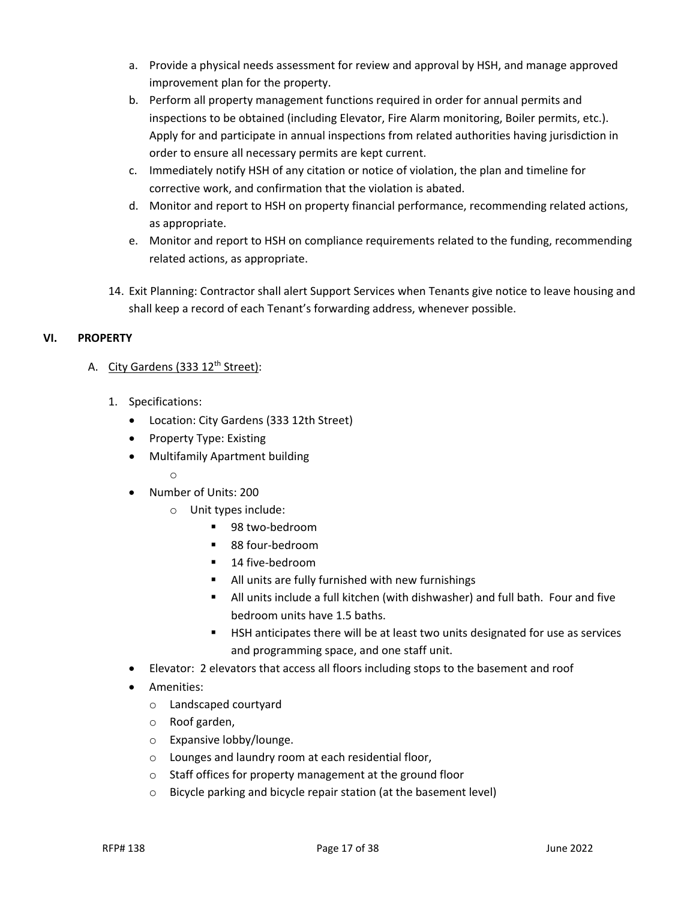- a. Provide a physical needs assessment for review and approval by HSH, and manage approved improvement plan for the property.
- b. Perform all property management functions required in order for annual permits and inspections to be obtained (including Elevator, Fire Alarm monitoring, Boiler permits, etc.). Apply for and participate in annual inspections from related authorities having jurisdiction in order to ensure all necessary permits are kept current.
- c. Immediately notify HSH of any citation or notice of violation, the plan and timeline for corrective work, and confirmation that the violation is abated.
- d. Monitor and report to HSH on property financial performance, recommending related actions, as appropriate.
- e. Monitor and report to HSH on compliance requirements related to the funding, recommending related actions, as appropriate.
- 14. Exit Planning: Contractor shall alert Support Services when Tenants give notice to leave housing and shall keep a record of each Tenant's forwarding address, whenever possible.

# <span id="page-16-0"></span>**VI. PROPERTY**

# A. City Gardens (333 12<sup>th</sup> Street):

- 1. Specifications:
	- Location: City Gardens (333 12th Street)
	- Property Type: Existing
	- Multifamily Apartment building

o

- Number of Units: 200
	- Unit types include:
		- 98 two-bedroom
		- 88 four-bedroom
		- **14 five-bedroom**
		- All units are fully furnished with new furnishings
		- All units include a full kitchen (with dishwasher) and full bath. Four and five bedroom units have 1.5 baths.
		- **EXECT AND EXECT 1** HSH anticipates there will be at least two units designated for use as services and programming space, and one staff unit.
- Elevator: 2 elevators that access all floors including stops to the basement and roof
- Amenities:
	- o Landscaped courtyard
	- o Roof garden,
	- o Expansive lobby/lounge.
	- o Lounges and laundry room at each residential floor,
	- o Staff offices for property management at the ground floor
	- o Bicycle parking and bicycle repair station (at the basement level)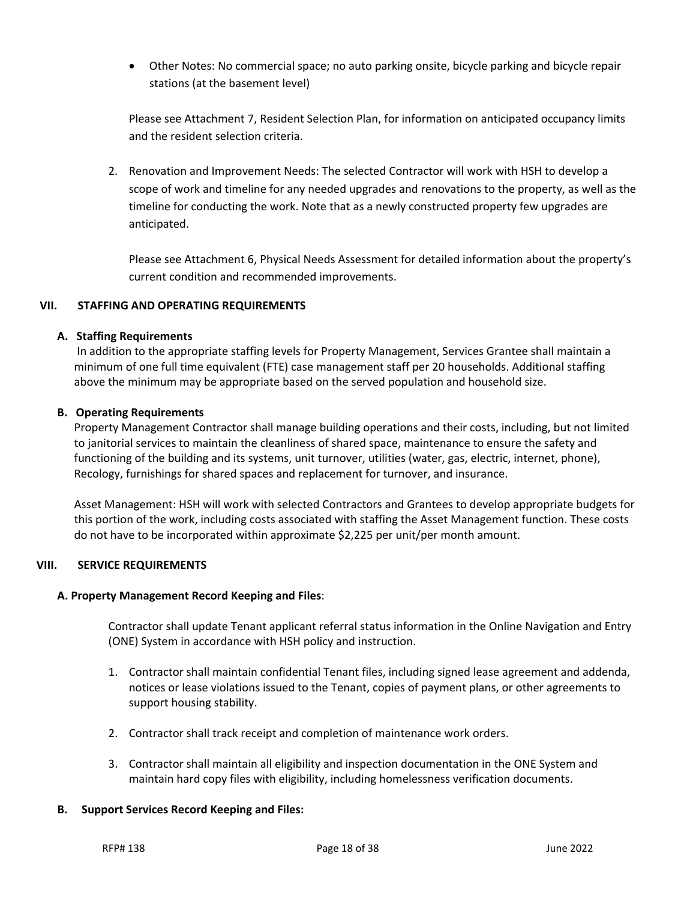• Other Notes: No commercial space; no auto parking onsite, bicycle parking and bicycle repair stations (at the basement level)

Please see Attachment 7, Resident Selection Plan, for information on anticipated occupancy limits and the resident selection criteria.

2. Renovation and Improvement Needs: The selected Contractor will work with HSH to develop a scope of work and timeline for any needed upgrades and renovations to the property, as well as the timeline for conducting the work. Note that as a newly constructed property few upgrades are anticipated.

Please see Attachment 6, Physical Needs Assessment for detailed information about the property's current condition and recommended improvements.

## <span id="page-17-0"></span>**VII. STAFFING AND OPERATING REQUIREMENTS**

### <span id="page-17-1"></span>**A. Staffing Requirements**

 In addition to the appropriate staffing levels for Property Management, Services Grantee shall maintain a minimum of one full time equivalent (FTE) case management staff per 20 households. Additional staffing above the minimum may be appropriate based on the served population and household size.

### <span id="page-17-2"></span>**B. Operating Requirements**

 Property Management Contractor shall manage building operations and their costs, including, but not limited to janitorial services to maintain the cleanliness of shared space, maintenance to ensure the safety and functioning of the building and its systems, unit turnover, utilities (water, gas, electric, internet, phone), Recology, furnishings for shared spaces and replacement for turnover, and insurance.

 Asset Management: HSH will work with selected Contractors and Grantees to develop appropriate budgets for this portion of the work, including costs associated with staffing the Asset Management function. These costs do not have to be incorporated within approximate \$2,225 per unit/per month amount.

### <span id="page-17-3"></span>**VIII. SERVICE REQUIREMENTS**

#### <span id="page-17-4"></span>**A. Property Management Record Keeping and Files**:

Contractor shall update Tenant applicant referral status information in the Online Navigation and Entry (ONE) System in accordance with HSH policy and instruction.

- 1. Contractor shall maintain confidential Tenant files, including signed lease agreement and addenda, notices or lease violations issued to the Tenant, copies of payment plans, or other agreements to support housing stability.
- 2. Contractor shall track receipt and completion of maintenance work orders.
- 3. Contractor shall maintain all eligibility and inspection documentation in the ONE System and maintain hard copy files with eligibility, including homelessness verification documents.

### <span id="page-17-5"></span>**B. Support Services Record Keeping and Files:**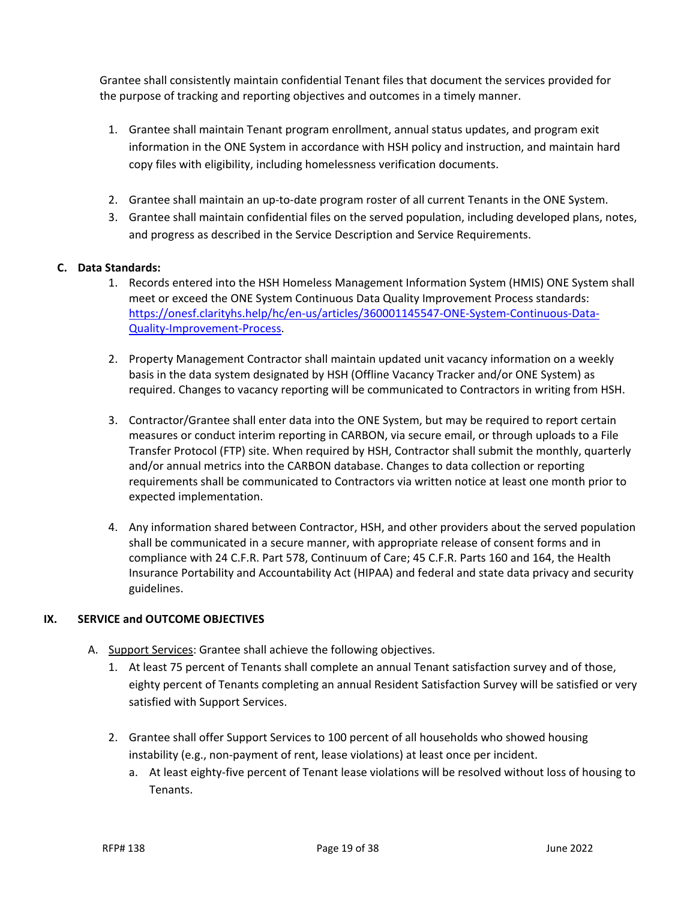Grantee shall consistently maintain confidential Tenant files that document the services provided for the purpose of tracking and reporting objectives and outcomes in a timely manner.

- 1. Grantee shall maintain Tenant program enrollment, annual status updates, and program exit information in the ONE System in accordance with HSH policy and instruction, and maintain hard copy files with eligibility, including homelessness verification documents.
- 2. Grantee shall maintain an up-to-date program roster of all current Tenants in the ONE System.
- 3. Grantee shall maintain confidential files on the served population, including developed plans, notes, and progress as described in the Service Description and Service Requirements.

#### <span id="page-18-0"></span>**C. Data Standards:**

- 1. Records entered into the HSH Homeless Management Information System (HMIS) ONE System shall meet or exceed the ONE System Continuous Data Quality Improvement Process standards: [https://onesf.clarityhs.help/hc/en-us/articles/360001145547-ONE-System-Continuous-Data-](https://onesf.clarityhs.help/hc/en-us/articles/360001145547-ONE-System-Continuous-Data-Quality-Improvement-Process)[Quality-Improvement-Process.](https://onesf.clarityhs.help/hc/en-us/articles/360001145547-ONE-System-Continuous-Data-Quality-Improvement-Process)
- 2. Property Management Contractor shall maintain updated unit vacancy information on a weekly basis in the data system designated by HSH (Offline Vacancy Tracker and/or ONE System) as required. Changes to vacancy reporting will be communicated to Contractors in writing from HSH.
- 3. Contractor/Grantee shall enter data into the ONE System, but may be required to report certain measures or conduct interim reporting in CARBON, via secure email, or through uploads to a File Transfer Protocol (FTP) site. When required by HSH, Contractor shall submit the monthly, quarterly and/or annual metrics into the CARBON database. Changes to data collection or reporting requirements shall be communicated to Contractors via written notice at least one month prior to expected implementation.
- 4. Any information shared between Contractor, HSH, and other providers about the served population shall be communicated in a secure manner, with appropriate release of consent forms and in compliance with 24 C.F.R. Part 578, Continuum of Care; 45 C.F.R. Parts 160 and 164, the Health Insurance Portability and Accountability Act (HIPAA) and federal and state data privacy and security guidelines.

### <span id="page-18-1"></span>**IX. SERVICE and OUTCOME OBJECTIVES**

- A. Support Services: Grantee shall achieve the following objectives.
	- 1. At least 75 percent of Tenants shall complete an annual Tenant satisfaction survey and of those, eighty percent of Tenants completing an annual Resident Satisfaction Survey will be satisfied or very satisfied with Support Services.
	- 2. Grantee shall offer Support Services to 100 percent of all households who showed housing instability (e.g., non-payment of rent, lease violations) at least once per incident.
		- a. At least eighty-five percent of Tenant lease violations will be resolved without loss of housing to Tenants.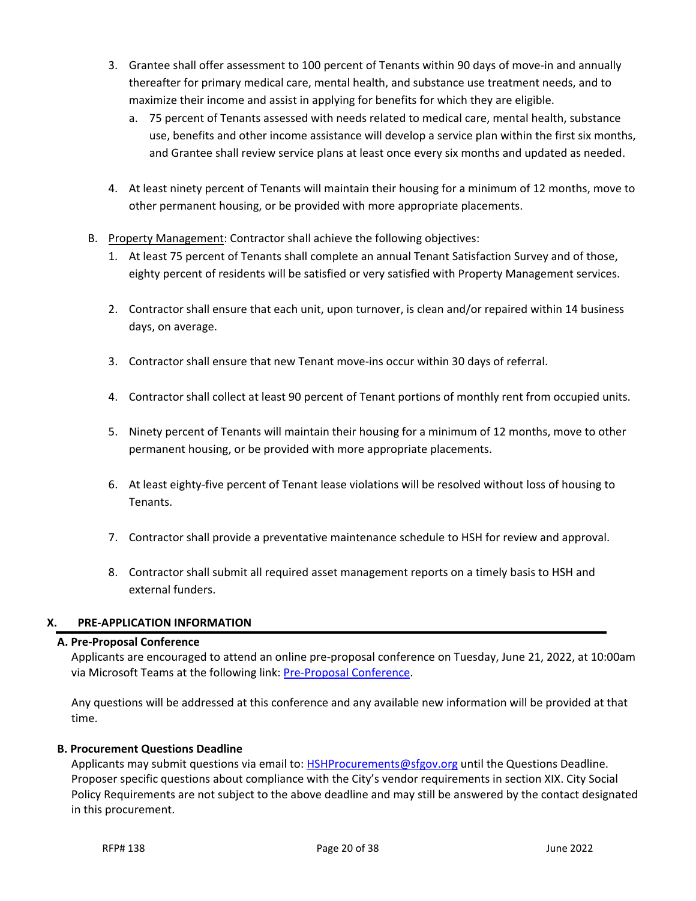- 3. Grantee shall offer assessment to 100 percent of Tenants within 90 days of move-in and annually thereafter for primary medical care, mental health, and substance use treatment needs, and to maximize their income and assist in applying for benefits for which they are eligible.
	- a. 75 percent of Tenants assessed with needs related to medical care, mental health, substance use, benefits and other income assistance will develop a service plan within the first six months, and Grantee shall review service plans at least once every six months and updated as needed.
- 4. At least ninety percent of Tenants will maintain their housing for a minimum of 12 months, move to other permanent housing, or be provided with more appropriate placements.
- B. Property Management: Contractor shall achieve the following objectives:
	- 1. At least 75 percent of Tenants shall complete an annual Tenant Satisfaction Survey and of those, eighty percent of residents will be satisfied or very satisfied with Property Management services.
	- 2. Contractor shall ensure that each unit, upon turnover, is clean and/or repaired within 14 business days, on average.
	- 3. Contractor shall ensure that new Tenant move-ins occur within 30 days of referral.
	- 4. Contractor shall collect at least 90 percent of Tenant portions of monthly rent from occupied units.
	- 5. Ninety percent of Tenants will maintain their housing for a minimum of 12 months, move to other permanent housing, or be provided with more appropriate placements.
	- 6. At least eighty-five percent of Tenant lease violations will be resolved without loss of housing to Tenants.
	- 7. Contractor shall provide a preventative maintenance schedule to HSH for review and approval.
	- 8. Contractor shall submit all required asset management reports on a timely basis to HSH and external funders.

# <span id="page-19-0"></span>**X. PRE-APPLICATION INFORMATION**

# <span id="page-19-1"></span>**A. Pre-Proposal Conference**

 Applicants are encouraged to attend an online pre-proposal conference on Tuesday, June 21, 2022, at 10:00am via Microsoft Teams at the following link[: Pre-Proposal Conference.](https://teams.microsoft.com/l/meetup-join/19%3ameeting_Y2NlYTIyZWItNzQ4YS00MGViLWEyZjctZjc5NTk5MDlkOTdj%40thread.v2/0?context=%7b%22Tid%22%3a%2222d5c2cf-ce3e-443d-9a7f-dfcc0231f73f%22%2c%22Oid%22%3a%22cd553df5-f3a5-43d1-8c2a-0c2b03490895%22%7d)

 Any questions will be addressed at this conference and any available new information will be provided at that time.

### <span id="page-19-2"></span>**B. Procurement Questions Deadline**

 Applicants may submit questions via email to: [HSHProcurements@sfgov.org](mailto:HSHProcurements@sfgov.org) until the Questions Deadline. Proposer specific questions about compliance with the City's vendor requirements in section XIX. City Social Policy Requirements are not subject to the above deadline and may still be answered by the contact designated in this procurement.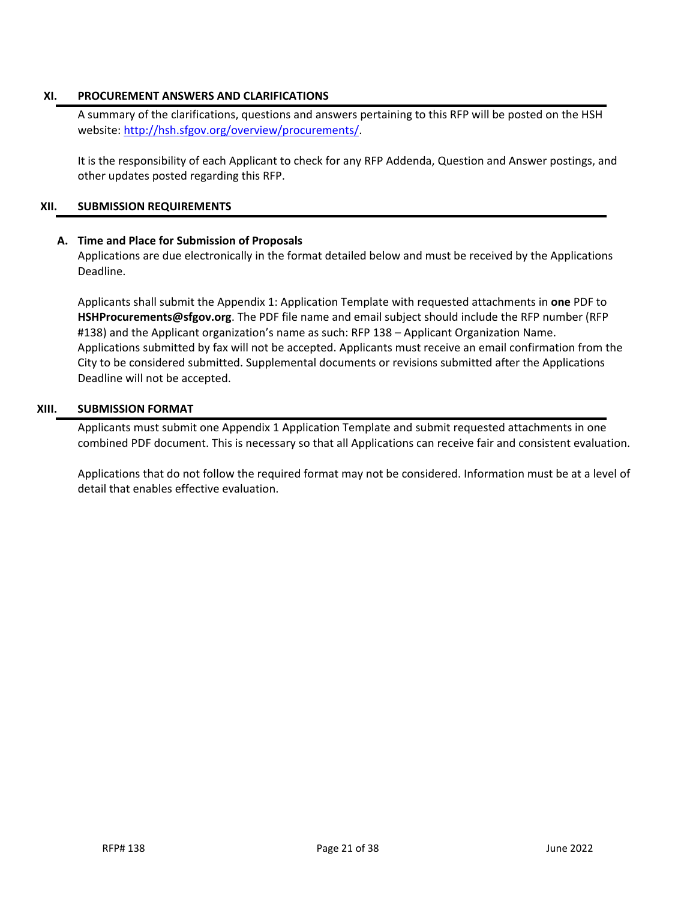### <span id="page-20-0"></span>**XI. PROCUREMENT ANSWERS AND CLARIFICATIONS**

A summary of the clarifications, questions and answers pertaining to this RFP will be posted on the HSH website: [http://hsh.sfgov.org/overview/procurements/.](http://hsh.sfgov.org/overview/procurements/)

It is the responsibility of each Applicant to check for any RFP Addenda, Question and Answer postings, and other updates posted regarding this RFP.

#### <span id="page-20-1"></span>**XII. SUBMISSION REQUIREMENTS**

### <span id="page-20-2"></span>**A. Time and Place for Submission of Proposals**

Applications are due electronically in the format detailed below and must be received by the Applications Deadline.

Applicants shall submit the Appendix 1: Application Template with requested attachments in **one** PDF to **[HSHProcurements@sfgov.org](#page-0-2)**. The PDF file name and email subject should include the RFP number (RFP #138) and the Applicant organization's name as such: RFP 138 – Applicant Organization Name. Applications submitted by fax will not be accepted. Applicants must receive an email confirmation from the City to be considered submitted. Supplemental documents or revisions submitted after the Applications Deadline will not be accepted.

#### <span id="page-20-3"></span>**XIII. SUBMISSION FORMAT**

Applicants must submit one Appendix 1 Application Template and submit requested attachments in one combined PDF document. This is necessary so that all Applications can receive fair and consistent evaluation.

Applications that do not follow the required format may not be considered. Information must be at a level of detail that enables effective evaluation.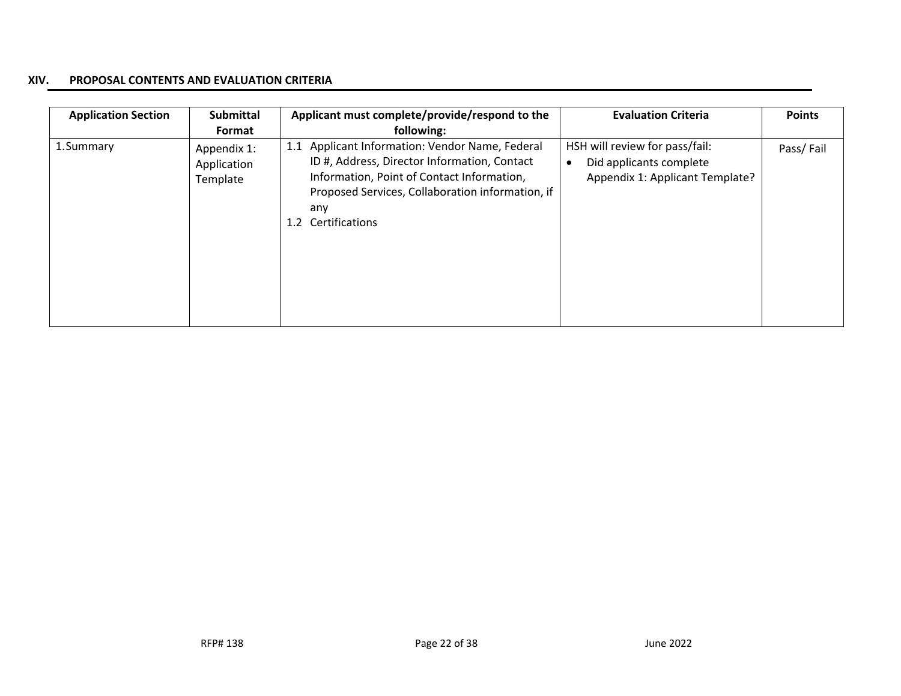#### **XIV. PROPOSAL CONTENTS AND EVALUATION CRITERIA**

<span id="page-21-0"></span>

| <b>Application Section</b> | <b>Submittal</b><br>Format             | Applicant must complete/provide/respond to the<br>following:                                                                                                                                                                         | <b>Evaluation Criteria</b>                                                                   | <b>Points</b> |
|----------------------------|----------------------------------------|--------------------------------------------------------------------------------------------------------------------------------------------------------------------------------------------------------------------------------------|----------------------------------------------------------------------------------------------|---------------|
| 1.Summary                  | Appendix 1:<br>Application<br>Template | Applicant Information: Vendor Name, Federal<br>1.1<br>ID #, Address, Director Information, Contact<br>Information, Point of Contact Information,<br>Proposed Services, Collaboration information, if<br>any<br>Certifications<br>1.2 | HSH will review for pass/fail:<br>Did applicants complete<br>Appendix 1: Applicant Template? | Pass/Fail     |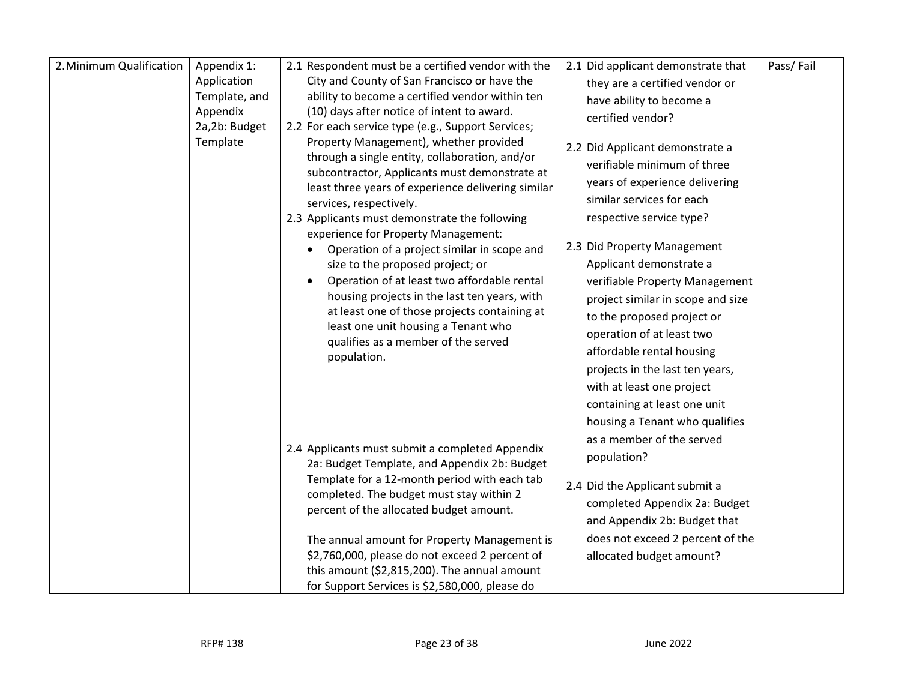| 2. Minimum Qualification | Appendix 1:<br>Application<br>Template, and<br>Appendix<br>2a,2b: Budget<br>Template | 2.1 Respondent must be a certified vendor with the<br>City and County of San Francisco or have the<br>ability to become a certified vendor within ten<br>(10) days after notice of intent to award.<br>2.2 For each service type (e.g., Support Services;<br>Property Management), whether provided<br>through a single entity, collaboration, and/or<br>subcontractor, Applicants must demonstrate at<br>least three years of experience delivering similar<br>services, respectively.<br>2.3 Applicants must demonstrate the following<br>experience for Property Management:<br>Operation of a project similar in scope and<br>size to the proposed project; or<br>Operation of at least two affordable rental<br>$\bullet$<br>housing projects in the last ten years, with<br>at least one of those projects containing at<br>least one unit housing a Tenant who<br>qualifies as a member of the served<br>population. | 2.1 Did applicant demonstrate that<br>they are a certified vendor or<br>have ability to become a<br>certified vendor?<br>2.2 Did Applicant demonstrate a<br>verifiable minimum of three<br>years of experience delivering<br>similar services for each<br>respective service type?<br>2.3 Did Property Management<br>Applicant demonstrate a<br>verifiable Property Management<br>project similar in scope and size<br>to the proposed project or<br>operation of at least two<br>affordable rental housing<br>projects in the last ten years,<br>with at least one project | Pass/Fail |
|--------------------------|--------------------------------------------------------------------------------------|-----------------------------------------------------------------------------------------------------------------------------------------------------------------------------------------------------------------------------------------------------------------------------------------------------------------------------------------------------------------------------------------------------------------------------------------------------------------------------------------------------------------------------------------------------------------------------------------------------------------------------------------------------------------------------------------------------------------------------------------------------------------------------------------------------------------------------------------------------------------------------------------------------------------------------|-----------------------------------------------------------------------------------------------------------------------------------------------------------------------------------------------------------------------------------------------------------------------------------------------------------------------------------------------------------------------------------------------------------------------------------------------------------------------------------------------------------------------------------------------------------------------------|-----------|
|                          |                                                                                      | 2.4 Applicants must submit a completed Appendix<br>2a: Budget Template, and Appendix 2b: Budget<br>Template for a 12-month period with each tab<br>completed. The budget must stay within 2<br>percent of the allocated budget amount.<br>The annual amount for Property Management is<br>\$2,760,000, please do not exceed 2 percent of<br>this amount (\$2,815,200). The annual amount<br>for Support Services is \$2,580,000, please do                                                                                                                                                                                                                                                                                                                                                                                                                                                                                  | containing at least one unit<br>housing a Tenant who qualifies<br>as a member of the served<br>population?<br>2.4 Did the Applicant submit a<br>completed Appendix 2a: Budget<br>and Appendix 2b: Budget that<br>does not exceed 2 percent of the<br>allocated budget amount?                                                                                                                                                                                                                                                                                               |           |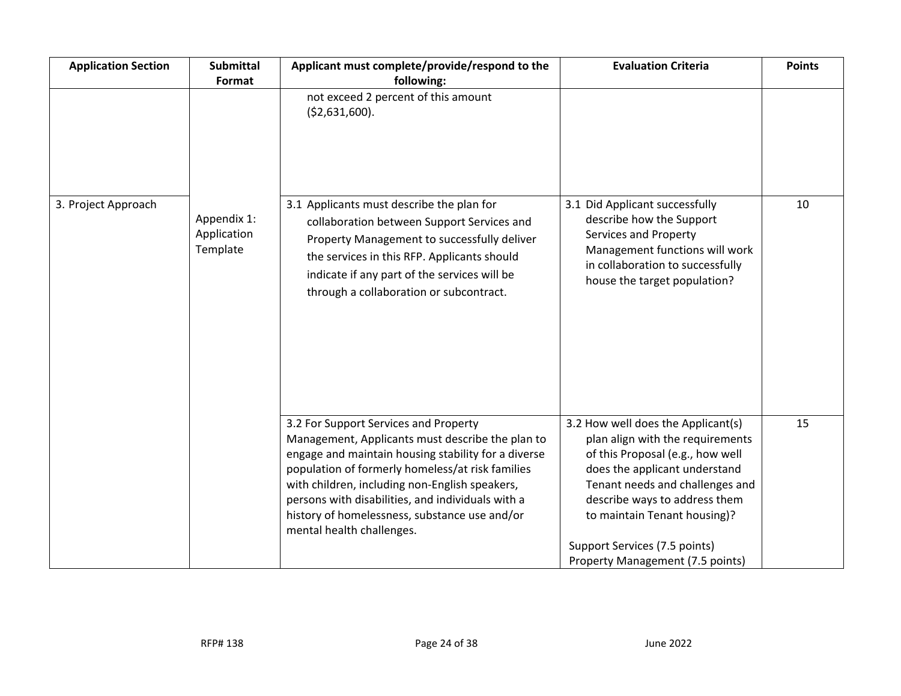| <b>Application Section</b> | <b>Submittal</b><br>Format             | Applicant must complete/provide/respond to the<br>following:                                                                                                                                                                                                                                                                                                                              | <b>Evaluation Criteria</b>                                                                                                                                                                                                                                                                                           | <b>Points</b> |
|----------------------------|----------------------------------------|-------------------------------------------------------------------------------------------------------------------------------------------------------------------------------------------------------------------------------------------------------------------------------------------------------------------------------------------------------------------------------------------|----------------------------------------------------------------------------------------------------------------------------------------------------------------------------------------------------------------------------------------------------------------------------------------------------------------------|---------------|
|                            |                                        | not exceed 2 percent of this amount<br>( \$2,631,600).                                                                                                                                                                                                                                                                                                                                    |                                                                                                                                                                                                                                                                                                                      |               |
| 3. Project Approach        | Appendix 1:<br>Application<br>Template | 3.1 Applicants must describe the plan for<br>collaboration between Support Services and<br>Property Management to successfully deliver<br>the services in this RFP. Applicants should<br>indicate if any part of the services will be<br>through a collaboration or subcontract.                                                                                                          | 3.1 Did Applicant successfully<br>describe how the Support<br>Services and Property<br>Management functions will work<br>in collaboration to successfully<br>house the target population?                                                                                                                            | 10            |
|                            |                                        | 3.2 For Support Services and Property<br>Management, Applicants must describe the plan to<br>engage and maintain housing stability for a diverse<br>population of formerly homeless/at risk families<br>with children, including non-English speakers,<br>persons with disabilities, and individuals with a<br>history of homelessness, substance use and/or<br>mental health challenges. | 3.2 How well does the Applicant(s)<br>plan align with the requirements<br>of this Proposal (e.g., how well<br>does the applicant understand<br>Tenant needs and challenges and<br>describe ways to address them<br>to maintain Tenant housing)?<br>Support Services (7.5 points)<br>Property Management (7.5 points) | 15            |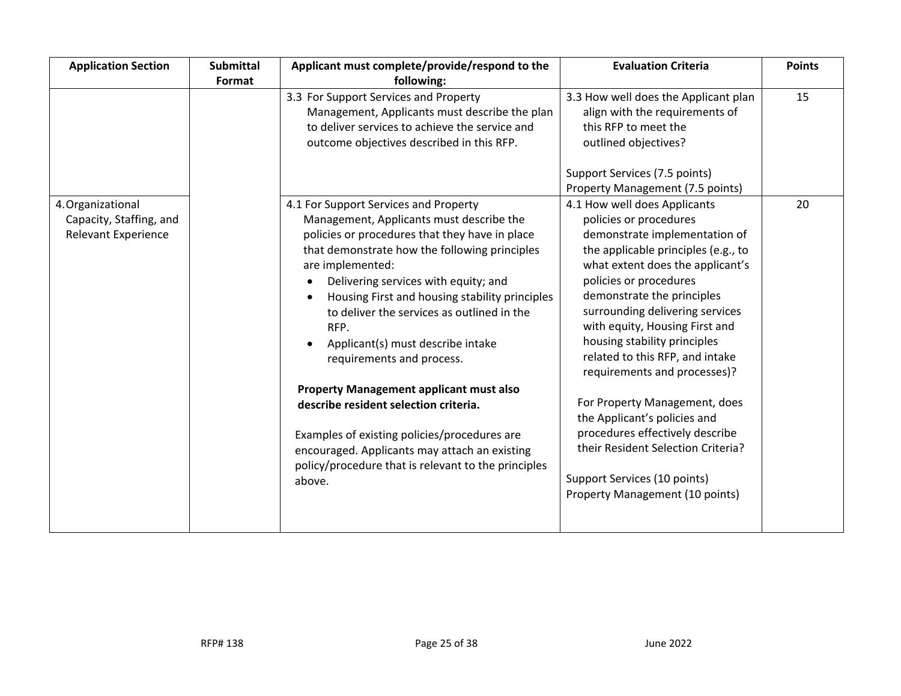| <b>Application Section</b>                                                 | <b>Submittal</b> | Applicant must complete/provide/respond to the                                                                                                                                                                                                                                                                                                                                                                                                                                                                                                                        | <b>Evaluation Criteria</b>                                                                                                                                                                                                                                                                                                                                                                                                                                                                                                                   | <b>Points</b> |
|----------------------------------------------------------------------------|------------------|-----------------------------------------------------------------------------------------------------------------------------------------------------------------------------------------------------------------------------------------------------------------------------------------------------------------------------------------------------------------------------------------------------------------------------------------------------------------------------------------------------------------------------------------------------------------------|----------------------------------------------------------------------------------------------------------------------------------------------------------------------------------------------------------------------------------------------------------------------------------------------------------------------------------------------------------------------------------------------------------------------------------------------------------------------------------------------------------------------------------------------|---------------|
|                                                                            | Format           | following:                                                                                                                                                                                                                                                                                                                                                                                                                                                                                                                                                            |                                                                                                                                                                                                                                                                                                                                                                                                                                                                                                                                              |               |
|                                                                            |                  | 3.3 For Support Services and Property<br>Management, Applicants must describe the plan<br>to deliver services to achieve the service and<br>outcome objectives described in this RFP.                                                                                                                                                                                                                                                                                                                                                                                 | 3.3 How well does the Applicant plan<br>align with the requirements of<br>this RFP to meet the<br>outlined objectives?<br>Support Services (7.5 points)                                                                                                                                                                                                                                                                                                                                                                                      | 15            |
|                                                                            |                  |                                                                                                                                                                                                                                                                                                                                                                                                                                                                                                                                                                       | Property Management (7.5 points)                                                                                                                                                                                                                                                                                                                                                                                                                                                                                                             |               |
| 4. Organizational<br>Capacity, Staffing, and<br><b>Relevant Experience</b> |                  | 4.1 For Support Services and Property<br>Management, Applicants must describe the<br>policies or procedures that they have in place<br>that demonstrate how the following principles<br>are implemented:<br>Delivering services with equity; and<br>Housing First and housing stability principles<br>to deliver the services as outlined in the<br>RFP.<br>Applicant(s) must describe intake<br>requirements and process.<br><b>Property Management applicant must also</b><br>describe resident selection criteria.<br>Examples of existing policies/procedures are | 4.1 How well does Applicants<br>policies or procedures<br>demonstrate implementation of<br>the applicable principles (e.g., to<br>what extent does the applicant's<br>policies or procedures<br>demonstrate the principles<br>surrounding delivering services<br>with equity, Housing First and<br>housing stability principles<br>related to this RFP, and intake<br>requirements and processes)?<br>For Property Management, does<br>the Applicant's policies and<br>procedures effectively describe<br>their Resident Selection Criteria? | 20            |
|                                                                            |                  | encouraged. Applicants may attach an existing<br>policy/procedure that is relevant to the principles<br>above.                                                                                                                                                                                                                                                                                                                                                                                                                                                        | Support Services (10 points)<br>Property Management (10 points)                                                                                                                                                                                                                                                                                                                                                                                                                                                                              |               |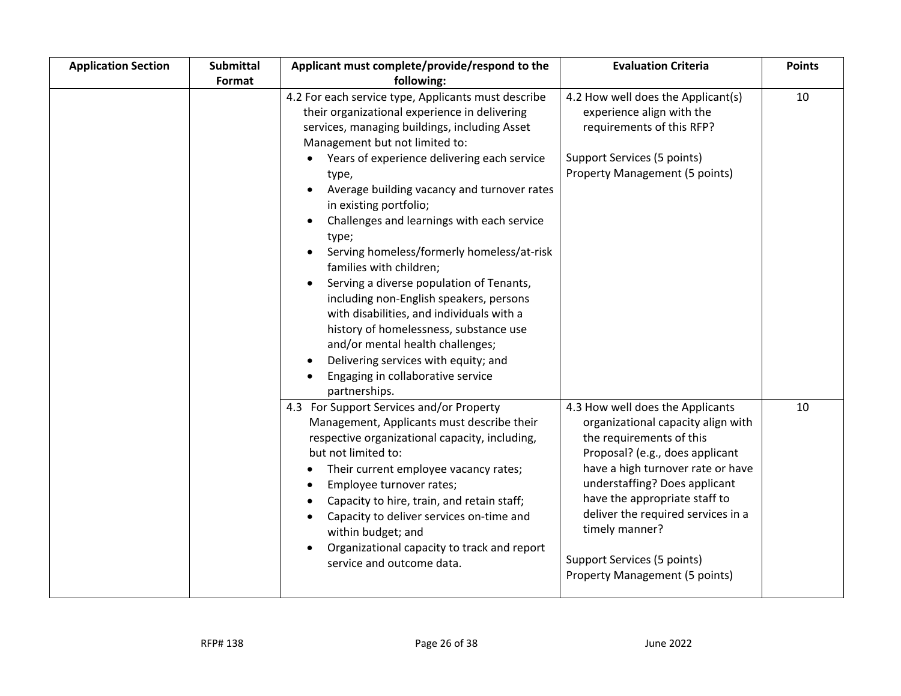| <b>Application Section</b> | Submittal | Applicant must complete/provide/respond to the                                                                                                                                                                                                                                                                                                                                                                                                                                                                                                                                                                                                                                                                                                                                        | <b>Evaluation Criteria</b>                                                                                                                                                                                                                                                                                                                                                   | <b>Points</b> |
|----------------------------|-----------|---------------------------------------------------------------------------------------------------------------------------------------------------------------------------------------------------------------------------------------------------------------------------------------------------------------------------------------------------------------------------------------------------------------------------------------------------------------------------------------------------------------------------------------------------------------------------------------------------------------------------------------------------------------------------------------------------------------------------------------------------------------------------------------|------------------------------------------------------------------------------------------------------------------------------------------------------------------------------------------------------------------------------------------------------------------------------------------------------------------------------------------------------------------------------|---------------|
|                            | Format    | following:                                                                                                                                                                                                                                                                                                                                                                                                                                                                                                                                                                                                                                                                                                                                                                            |                                                                                                                                                                                                                                                                                                                                                                              |               |
|                            |           | 4.2 For each service type, Applicants must describe<br>their organizational experience in delivering<br>services, managing buildings, including Asset<br>Management but not limited to:<br>Years of experience delivering each service<br>type,<br>Average building vacancy and turnover rates<br>in existing portfolio;<br>Challenges and learnings with each service<br>type;<br>Serving homeless/formerly homeless/at-risk<br>families with children;<br>Serving a diverse population of Tenants,<br>$\bullet$<br>including non-English speakers, persons<br>with disabilities, and individuals with a<br>history of homelessness, substance use<br>and/or mental health challenges;<br>Delivering services with equity; and<br>Engaging in collaborative service<br>partnerships. | 4.2 How well does the Applicant(s)<br>experience align with the<br>requirements of this RFP?<br>Support Services (5 points)<br>Property Management (5 points)                                                                                                                                                                                                                | 10            |
|                            |           | 4.3 For Support Services and/or Property<br>Management, Applicants must describe their<br>respective organizational capacity, including,<br>but not limited to:<br>Their current employee vacancy rates;<br>Employee turnover rates;<br>Capacity to hire, train, and retain staff;<br>$\bullet$<br>Capacity to deliver services on-time and<br>$\bullet$<br>within budget; and<br>Organizational capacity to track and report<br>service and outcome data.                                                                                                                                                                                                                                                                                                                            | 4.3 How well does the Applicants<br>organizational capacity align with<br>the requirements of this<br>Proposal? (e.g., does applicant<br>have a high turnover rate or have<br>understaffing? Does applicant<br>have the appropriate staff to<br>deliver the required services in a<br>timely manner?<br>Support Services (5 points)<br><b>Property Management (5 points)</b> | 10            |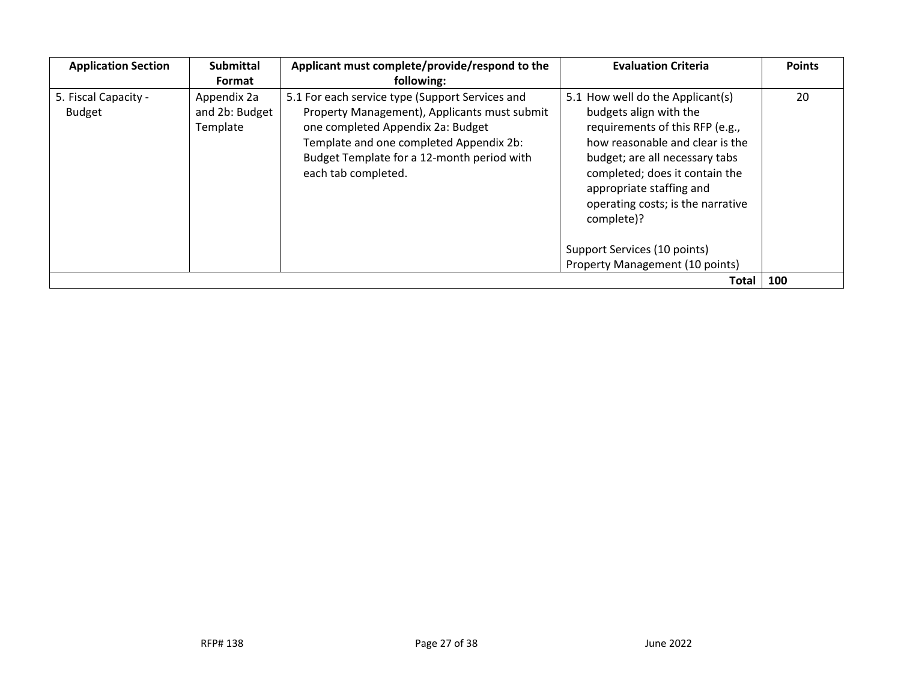| <b>Application Section</b>            | <b>Submittal</b><br>Format                | Applicant must complete/provide/respond to the<br>following:                                                                                                                                                                                         | <b>Evaluation Criteria</b>                                                                                                                                                                                                                                                                                          | <b>Points</b> |
|---------------------------------------|-------------------------------------------|------------------------------------------------------------------------------------------------------------------------------------------------------------------------------------------------------------------------------------------------------|---------------------------------------------------------------------------------------------------------------------------------------------------------------------------------------------------------------------------------------------------------------------------------------------------------------------|---------------|
| 5. Fiscal Capacity -<br><b>Budget</b> | Appendix 2a<br>and 2b: Budget<br>Template | 5.1 For each service type (Support Services and<br>Property Management), Applicants must submit<br>one completed Appendix 2a: Budget<br>Template and one completed Appendix 2b:<br>Budget Template for a 12-month period with<br>each tab completed. | 5.1 How well do the Applicant(s)<br>budgets align with the<br>requirements of this RFP (e.g.,<br>how reasonable and clear is the<br>budget; are all necessary tabs<br>completed; does it contain the<br>appropriate staffing and<br>operating costs; is the narrative<br>complete)?<br>Support Services (10 points) | 20            |
|                                       |                                           |                                                                                                                                                                                                                                                      | Property Management (10 points)                                                                                                                                                                                                                                                                                     |               |
| Total                                 |                                           |                                                                                                                                                                                                                                                      |                                                                                                                                                                                                                                                                                                                     |               |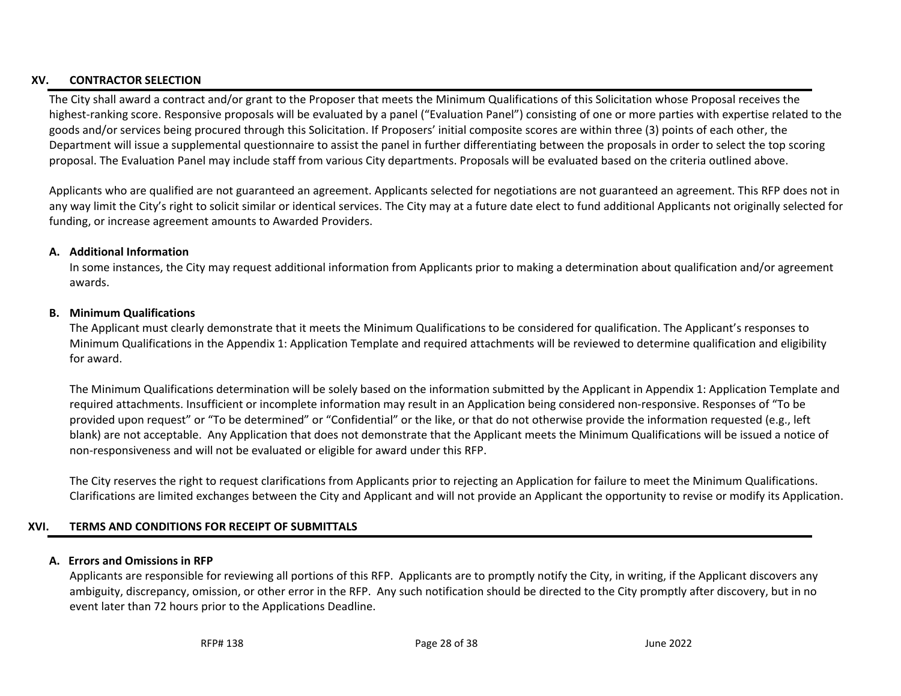## **XV. CONTRACTOR SELECTION**

The City shall award a contract and/or grant to the Proposer that meets the Minimum Qualifications of this Solicitation whose Proposal receives the highest-ranking score. Responsive proposals will be evaluated by a panel ("Evaluation Panel") consisting of one or more parties with expertise related to the goods and/or services being procured through this Solicitation. If Proposers' initial composite scores are within three (3) points of each other, the Department will issue a supplemental questionnaire to assist the panel in further differentiating between the proposals in order to select the top scoring proposal. The Evaluation Panel may include staff from various City departments. Proposals will be evaluated based on the criteria outlined above.

Applicants who are qualified are not guaranteed an agreement. Applicants selected for negotiations are not guaranteed an agreement. This RFP does not in any way limit the City's right to solicit similar or identical services. The City may at a future date elect to fund additional Applicants not originally selected for funding, or increase agreement amounts to Awarded Providers.

#### **A. Additional Information**

<span id="page-27-0"></span>In some instances, the City may request additional information from Applicants prior to making a determination about qualification and/or agreement awards.

#### **B. Minimum Qualifications**

The Applicant must clearly demonstrate that it meets the Minimum Qualifications to be considered for qualification. The Applicant's responses to Minimum Qualifications in the Appendix 1: Application Template and required attachments will be reviewed to determine qualification and eligibility for award.

The Minimum Qualifications determination will be solely based on the information submitted by the Applicant in Appendix 1: Application Template and required attachments. Insufficient or incomplete information may result in an Application being considered non-responsive. Responses of "To be provided upon request" or "To be determined" or "Confidential" or the like, or that do not otherwise provide the information requested (e.g., left blank) are not acceptable. Any Application that does not demonstrate that the Applicant meets the Minimum Qualifications will be issued a notice of non-responsiveness and will not be evaluated or eligible for award under this RFP.

<span id="page-27-1"></span>The City reserves the right to request clarifications from Applicants prior to rejecting an Application for failure to meet the Minimum Qualifications. Clarifications are limited exchanges between the City and Applicant and will not provide an Applicant the opportunity to revise or modify its Application.

## <span id="page-27-2"></span>**XVI. TERMS AND CONDITIONS FOR RECEIPT OF SUBMITTALS**

#### **A. Errors and Omissions in RFP**

<span id="page-27-4"></span><span id="page-27-3"></span>Applicants are responsible for reviewing all portions of this RFP. Applicants are to promptly notify the City, in writing, if the Applicant discovers any ambiguity, discrepancy, omission, or other error in the RFP. Any such notification should be directed to the City promptly after discovery, but in no event later than 72 hours prior to the Applications Deadline.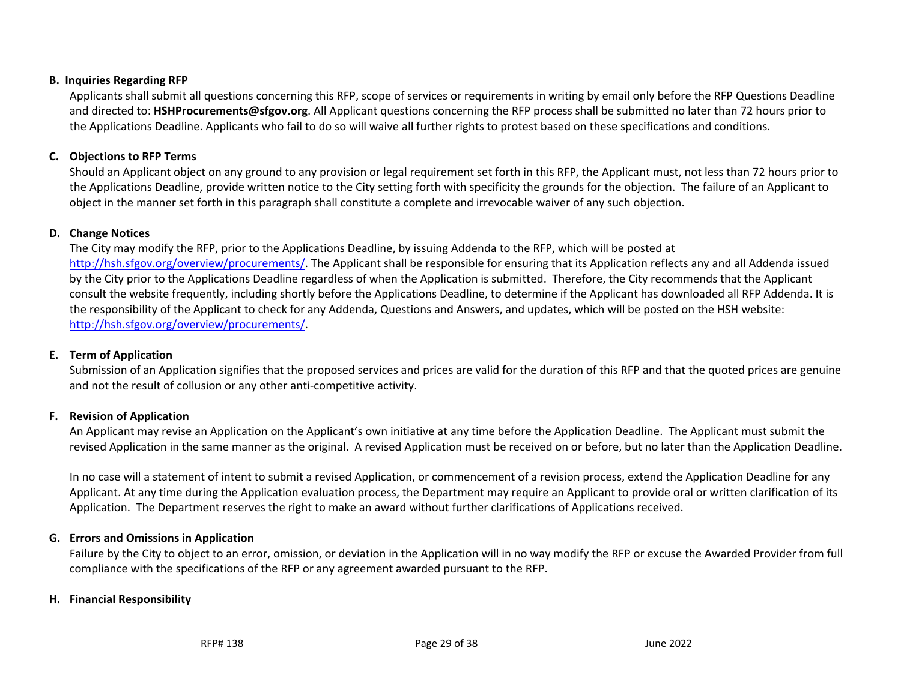#### **B. Inquiries Regarding RFP**

Applicants shall submit all questions concerning this RFP, scope of services or requirements in writing by email only before the RFP Questions Deadline and directed to: **[HSHProcurements@sfgov.org](#page-0-3)**. All Applicant questions concerning the RFP process shall be submitted no later than 72 hours prior to the Applications Deadline. Applicants who fail to do so will waive all further rights to protest based on these specifications and conditions.

## **C. Objections to RFP Terms**

Should an Applicant object on any ground to any provision or legal requirement set forth in this RFP, the Applicant must, not less than 72 hours prior to the Applications Deadline, provide written notice to the City setting forth with specificity the grounds for the objection. The failure of an Applicant to object in the manner set forth in this paragraph shall constitute a complete and irrevocable waiver of any such objection.

## **D. Change Notices**

<span id="page-28-0"></span>The City may modify the RFP, prior to the Applications Deadline, by issuing Addenda to the RFP, which will be posted at [http://hsh.sfgov.org/overview/procurements/.](http://hsh.sfgov.org/overview/procurements/) The Applicant shall be responsible for ensuring that its Application reflects any and all Addenda issued by the City prior to the Applications Deadline regardless of when the Application is submitted. Therefore, the City recommends that the Applicant consult the website frequently, including shortly before the Applications Deadline, to determine if the Applicant has downloaded all RFP Addenda. It is the responsibility of the Applicant to check for any Addenda, Questions and Answers, and updates, which will be posted on the HSH website: [http://hsh.sfgov.org/overview/procurements/.](http://hsh.sfgov.org/overview/procurements/)

## <span id="page-28-1"></span>**E. Term of Application**

Submission of an Application signifies that the proposed services and prices are valid for the duration of this RFP and that the quoted prices are genuine and not the result of collusion or any other anti-competitive activity.

# <span id="page-28-2"></span>**F. Revision of Application**

An Applicant may revise an Application on the Applicant's own initiative at any time before the Application Deadline. The Applicant must submit the revised Application in the same manner as the original. A revised Application must be received on or before, but no later than the Application Deadline.

In no case will a statement of intent to submit a revised Application, or commencement of a revision process, extend the Application Deadline for any Applicant. At any time during the Application evaluation process, the Department may require an Applicant to provide oral or written clarification of its Application. The Department reserves the right to make an award without further clarifications of Applications received.

## <span id="page-28-3"></span>**G. Errors and Omissions in Application**

Failure by the City to object to an error, omission, or deviation in the Application will in no way modify the RFP or excuse the Awarded Provider from full compliance with the specifications of the RFP or any agreement awarded pursuant to the RFP.

## <span id="page-28-6"></span><span id="page-28-5"></span><span id="page-28-4"></span>**H. Financial Responsibility**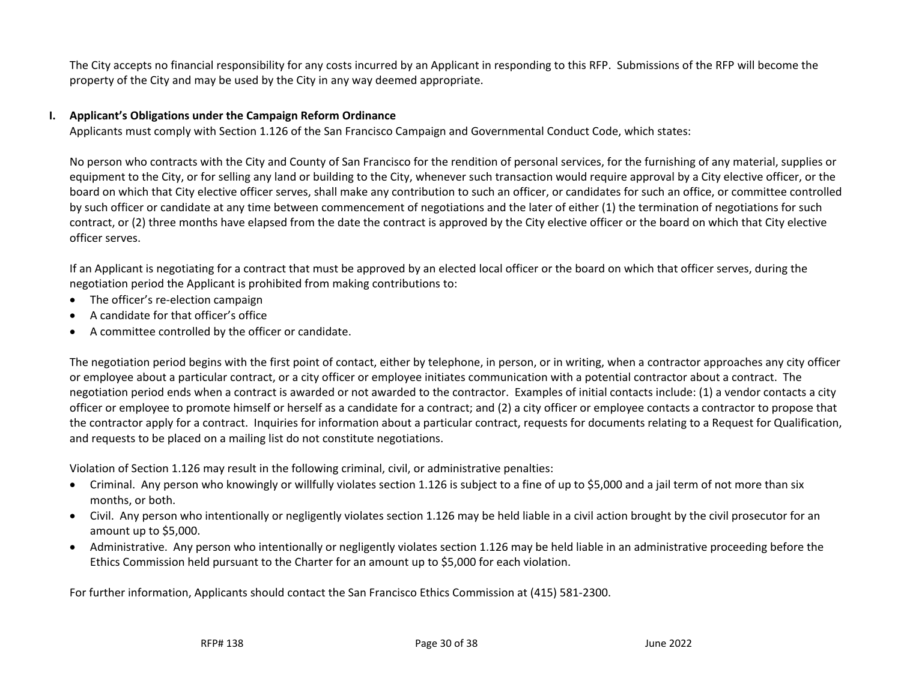The City accepts no financial responsibility for any costs incurred by an Applicant in responding to this RFP. Submissions of the RFP will become the property of the City and may be used by the City in any way deemed appropriate.

### **I. Applicant's Obligations under the Campaign Reform Ordinance**

Applicants must comply with Section 1.126 of the San Francisco Campaign and Governmental Conduct Code, which states:

No person who contracts with the City and County of San Francisco for the rendition of personal services, for the furnishing of any material, supplies or equipment to the City, or for selling any land or building to the City, whenever such transaction would require approval by a City elective officer, or the board on which that City elective officer serves, shall make any contribution to such an officer, or candidates for such an office, or committee controlled by such officer or candidate at any time between commencement of negotiations and the later of either (1) the termination of negotiations for such contract, or (2) three months have elapsed from the date the contract is approved by the City elective officer or the board on which that City elective officer serves.

If an Applicant is negotiating for a contract that must be approved by an elected local officer or the board on which that officer serves, during the negotiation period the Applicant is prohibited from making contributions to:

- The officer's re-election campaign
- <span id="page-29-0"></span>• A candidate for that officer's office
- A committee controlled by the officer or candidate.

The negotiation period begins with the first point of contact, either by telephone, in person, or in writing, when a contractor approaches any city officer or employee about a particular contract, or a city officer or employee initiates communication with a potential contractor about a contract. The negotiation period ends when a contract is awarded or not awarded to the contractor. Examples of initial contacts include: (1) a vendor contacts a city officer or employee to promote himself or herself as a candidate for a contract; and (2) a city officer or employee contacts a contractor to propose that the contractor apply for a contract. Inquiries for information about a particular contract, requests for documents relating to a Request for Qualification, and requests to be placed on a mailing list do not constitute negotiations.

Violation of Section 1.126 may result in the following criminal, civil, or administrative penalties:

- Criminal. Any person who knowingly or willfully violates section 1.126 is subject to a fine of up to \$5,000 and a jail term of not more than six months, or both.
- Civil. Any person who intentionally or negligently violates section 1.126 may be held liable in a civil action brought by the civil prosecutor for an amount up to \$5,000.
- Administrative. Any person who intentionally or negligently violates section 1.126 may be held liable in an administrative proceeding before the Ethics Commission held pursuant to the Charter for an amount up to \$5,000 for each violation.

For further information, Applicants should contact the San Francisco Ethics Commission at (415) 581-2300.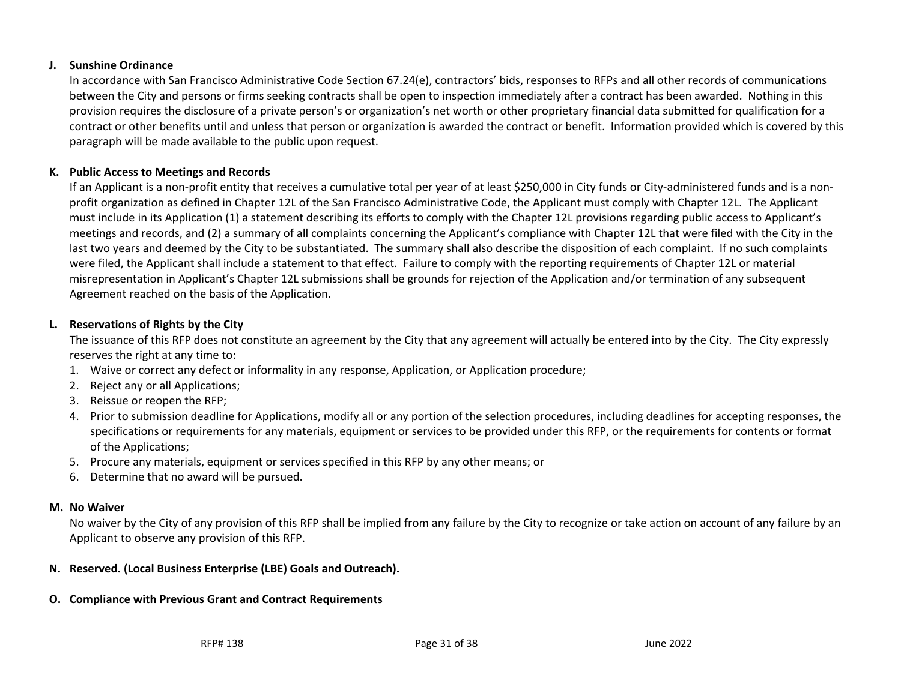### **J. Sunshine Ordinance**

In accordance with San Francisco Administrative Code Section 67.24(e), contractors' bids, responses to RFPs and all other records of communications between the City and persons or firms seeking contracts shall be open to inspection immediately after a contract has been awarded. Nothing in this provision requires the disclosure of a private person's or organization's net worth or other proprietary financial data submitted for qualification for a contract or other benefits until and unless that person or organization is awarded the contract or benefit. Information provided which is covered by this paragraph will be made available to the public upon request.

## **K. Public Access to Meetings and Records**

If an Applicant is a non-profit entity that receives a cumulative total per year of at least \$250,000 in City funds or City-administered funds and is a nonprofit organization as defined in Chapter 12L of the San Francisco Administrative Code, the Applicant must comply with Chapter 12L. The Applicant must include in its Application (1) a statement describing its efforts to comply with the Chapter 12L provisions regarding public access to Applicant's meetings and records, and (2) a summary of all complaints concerning the Applicant's compliance with Chapter 12L that were filed with the City in the last two years and deemed by the City to be substantiated. The summary shall also describe the disposition of each complaint. If no such complaints were filed, the Applicant shall include a statement to that effect. Failure to comply with the reporting requirements of Chapter 12L or material misrepresentation in Applicant's Chapter 12L submissions shall be grounds for rejection of the Application and/or termination of any subsequent Agreement reached on the basis of the Application.

# <span id="page-30-0"></span>**L. Reservations of Rights by the City**

The issuance of this RFP does not constitute an agreement by the City that any agreement will actually be entered into by the City. The City expressly reserves the right at any time to:

- <span id="page-30-1"></span>1. Waive or correct any defect or informality in any response, Application, or Application procedure;
- 2. Reject any or all Applications;
- 3. Reissue or reopen the RFP;
- 4. Prior to submission deadline for Applications, modify all or any portion of the selection procedures, including deadlines for accepting responses, the specifications or requirements for any materials, equipment or services to be provided under this RFP, or the requirements for contents or format of the Applications;
- 5. Procure any materials, equipment or services specified in this RFP by any other means; or
- 6. Determine that no award will be pursued.

## <span id="page-30-2"></span>**M. No Waiver**

No waiver by the City of any provision of this RFP shall be implied from any failure by the City to recognize or take action on account of any failure by an Applicant to observe any provision of this RFP.

# **N. Reserved. (Local Business Enterprise (LBE) Goals and Outreach).**

## <span id="page-30-5"></span><span id="page-30-4"></span><span id="page-30-3"></span>**O. Compliance with Previous Grant and Contract Requirements**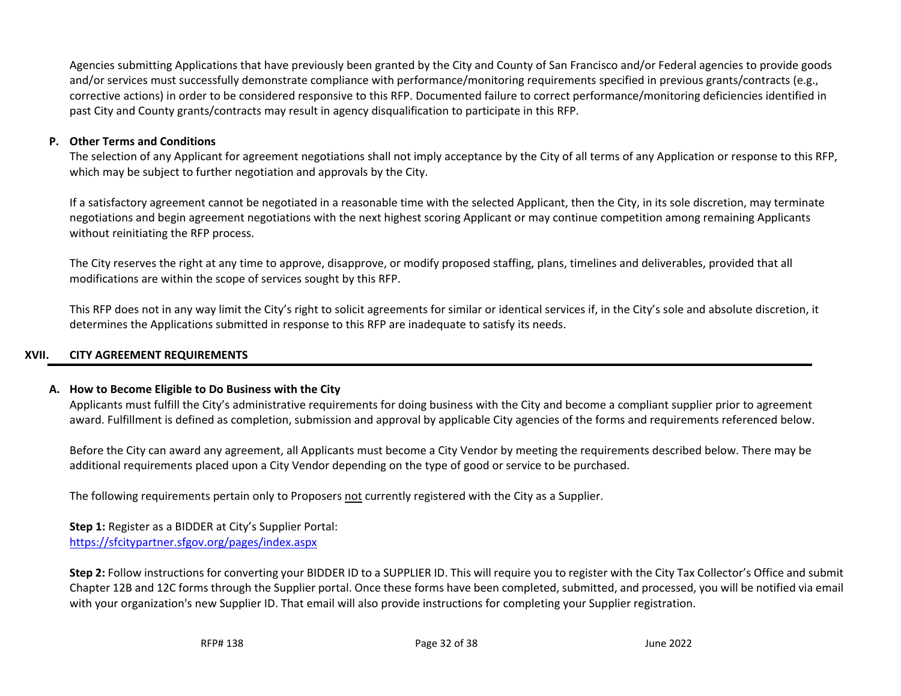Agencies submitting Applications that have previously been granted by the City and County of San Francisco and/or Federal agencies to provide goods and/or services must successfully demonstrate compliance with performance/monitoring requirements specified in previous grants/contracts (e.g., corrective actions) in order to be considered responsive to this RFP. Documented failure to correct performance/monitoring deficiencies identified in past City and County grants/contracts may result in agency disqualification to participate in this RFP.

### **P. Other Terms and Conditions**

The selection of any Applicant for agreement negotiations shall not imply acceptance by the City of all terms of any Application or response to this RFP, which may be subject to further negotiation and approvals by the City.

If a satisfactory agreement cannot be negotiated in a reasonable time with the selected Applicant, then the City, in its sole discretion, may terminate negotiations and begin agreement negotiations with the next highest scoring Applicant or may continue competition among remaining Applicants without reinitiating the RFP process.

The City reserves the right at any time to approve, disapprove, or modify proposed staffing, plans, timelines and deliverables, provided that all modifications are within the scope of services sought by this RFP.

This RFP does not in any way limit the City's right to solicit agreements for similar or identical services if, in the City's sole and absolute discretion, it determines the Applications submitted in response to this RFP are inadequate to satisfy its needs.

# <span id="page-31-0"></span>**XVII. CITY AGREEMENT REQUIREMENTS**

## **A. How to Become Eligible to Do Business with the City**

Applicants must fulfill the City's administrative requirements for doing business with the City and become a compliant supplier prior to agreement award. Fulfillment is defined as completion, submission and approval by applicable City agencies of the forms and requirements referenced below.

Before the City can award any agreement, all Applicants must become a City Vendor by meeting the requirements described below. There may be additional requirements placed upon a City Vendor depending on the type of good or service to be purchased.

The following requirements pertain only to Proposers not currently registered with the City as a Supplier.

**Step 1:** Register as a BIDDER at City's Supplier Portal: <https://sfcitypartner.sfgov.org/pages/index.aspx>

<span id="page-31-2"></span><span id="page-31-1"></span>**Step 2:** Follow instructions for converting your BIDDER ID to a SUPPLIER ID. This will require you to register with the City Tax Collector's Office and submit Chapter 12B and 12C forms through the Supplier portal. Once these forms have been completed, submitted, and processed, you will be notified via email with your organization's new Supplier ID. That email will also provide instructions for completing your Supplier registration.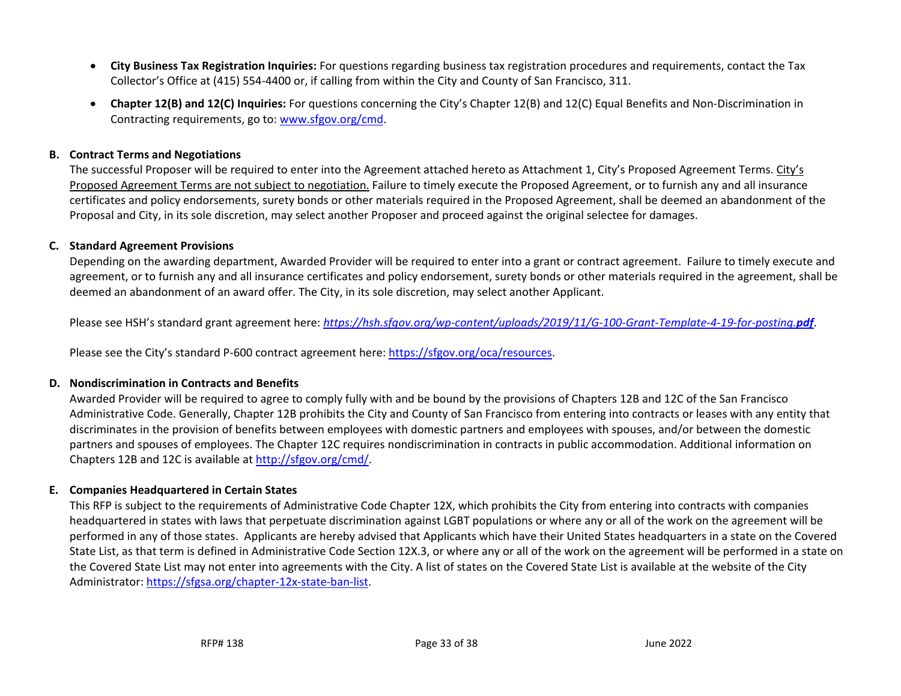- **City Business Tax Registration Inquiries:** For questions regarding business tax registration procedures and requirements, contact the Tax Collector's Office at (415) 554-4400 or, if calling from within the City and County of San Francisco, 311.
- **Chapter 12(B) and 12(C) Inquiries:** For questions concerning the City's Chapter 12(B) and 12(C) Equal Benefits and Non-Discrimination in Contracting requirements, go to: [www.sfgov.org/cmd.](http://www.sfgov.org/cmd)

#### **B. Contract Terms and Negotiations**

The successful Proposer will be required to enter into the Agreement attached hereto as Attachment 1, City's Proposed Agreement Terms. City's Proposed Agreement Terms are not subject to negotiation. Failure to timely execute the Proposed Agreement, or to furnish any and all insurance certificates and policy endorsements, surety bonds or other materials required in the Proposed Agreement, shall be deemed an abandonment of the Proposal and City, in its sole discretion, may select another Proposer and proceed against the original selectee for damages.

### **C. Standard Agreement Provisions**

Depending on the awarding department, Awarded Provider will be required to enter into a grant or contract agreement. Failure to timely execute and agreement, or to furnish any and all insurance certificates and policy endorsement, surety bonds or other materials required in the agreement, shall be deemed an abandonment of an award offer. The City, in its sole discretion, may select another Applicant.

Please see HSH's standard grant agreement here: *[https://hsh.sfgov.org/wp-content/uploads/2019/11/G-100-Grant-Template-4-19-for-posting.](https://hsh.sfgov.org/wp-content/uploads/2019/11/G-100-Grant-Template-4-19-for-posting.pdf)pdf*.

<span id="page-32-0"></span>Please see the City's standard P-600 contract agreement here: [https://sfgov.org/oca/resources.](https://sfgov.org/oca/resources)

## **D. Nondiscrimination in Contracts and Benefits**

Awarded Provider will be required to agree to comply fully with and be bound by the provisions of Chapters 12B and 12C of the San Francisco Administrative Code. Generally, Chapter 12B prohibits the City and County of San Francisco from entering into contracts or leases with any entity that discriminates in the provision of benefits between employees with domestic partners and employees with spouses, and/or between the domestic partners and spouses of employees. The Chapter 12C requires nondiscrimination in contracts in public accommodation. Additional information on Chapters 12B and 12C is available at [http://sfgov.org/cmd/.](http://sfgov.org/cmd/)

## <span id="page-32-1"></span>**E. Companies Headquartered in Certain States**

<span id="page-32-3"></span><span id="page-32-2"></span>This RFP is subject to the requirements of Administrative Code Chapter 12X, which prohibits the City from entering into contracts with companies headquartered in states with laws that perpetuate discrimination against LGBT populations or where any or all of the work on the agreement will be performed in any of those states. Applicants are hereby advised that Applicants which have their United States headquarters in a state on the Covered State List, as that term is defined in Administrative Code Section 12X.3, or where any or all of the work on the agreement will be performed in a state on the Covered State List may not enter into agreements with the City. A list of states on the Covered State List is available at the website of the City Administrator: [https://sfgsa.org/chapter-12x-state-ban-list.](https://sfgsa.org/chapter-12x-state-ban-list)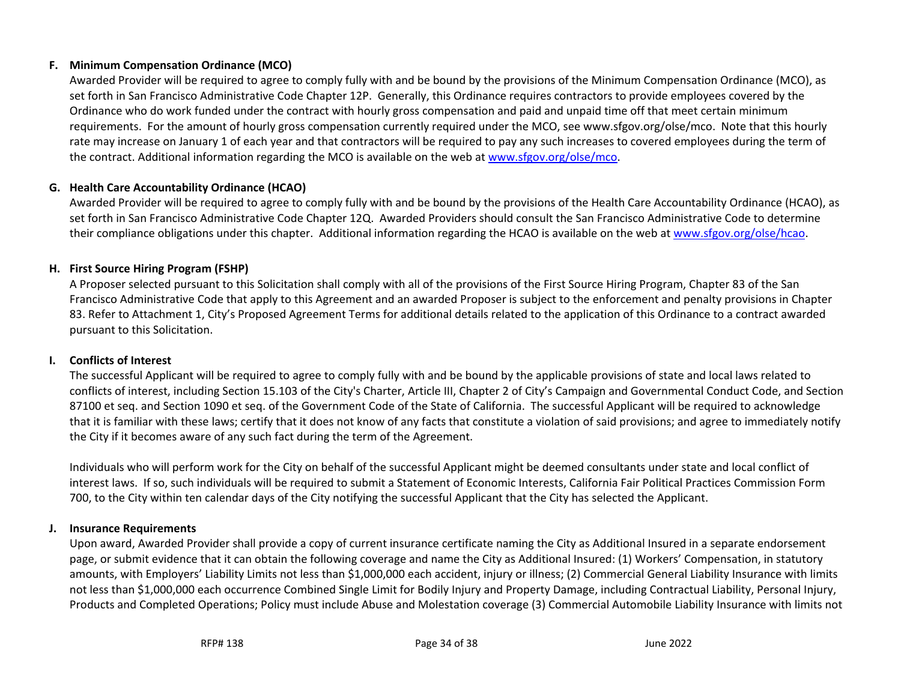## **F. Minimum Compensation Ordinance (MCO)**

Awarded Provider will be required to agree to comply fully with and be bound by the provisions of the Minimum Compensation Ordinance (MCO), as set forth in San Francisco Administrative Code Chapter 12P. Generally, this Ordinance requires contractors to provide employees covered by the Ordinance who do work funded under the contract with hourly gross compensation and paid and unpaid time off that meet certain minimum requirements. For the amount of hourly gross compensation currently required under the MCO, see www.sfgov.org/olse/mco. Note that this hourly rate may increase on January 1 of each year and that contractors will be required to pay any such increases to covered employees during the term of the contract. Additional information regarding the MCO is available on the web at www.sfgov.org/olse/mco.

## **G. Health Care Accountability Ordinance (HCAO)**

Awarded Provider will be required to agree to comply fully with and be bound by the provisions of the Health Care Accountability Ordinance (HCAO), as set forth in San Francisco Administrative Code Chapter 12Q. Awarded Providers should consult the San Francisco Administrative Code to determine their compliance obligations under this chapter. Additional information regarding the HCAO is available on the web at www.sfgov.org/olse/hcao.

## <span id="page-33-0"></span>**H. First Source Hiring Program (FSHP)**

A Proposer selected pursuant to this Solicitation shall comply with all of the provisions of the First Source Hiring Program, Chapter 83 of the San Francisco Administrative Code that apply to this Agreement and an awarded Proposer is subject to the enforcement and penalty provisions in Chapter 83. Refer to Attachment 1, City's Proposed Agreement Terms for additional details related to the application of this Ordinance to a contract awarded pursuant to this Solicitation.

## **I. Conflicts of Interest**

<span id="page-33-1"></span>The successful Applicant will be required to agree to comply fully with and be bound by the applicable provisions of state and local laws related to conflicts of interest, including Section 15.103 of the City's Charter, Article III, Chapter 2 of City's Campaign and Governmental Conduct Code, and Section 87100 et seq. and Section 1090 et seq. of the Government Code of the State of California. The successful Applicant will be required to acknowledge that it is familiar with these laws; certify that it does not know of any facts that constitute a violation of said provisions; and agree to immediately notify the City if it becomes aware of any such fact during the term of the Agreement.

<span id="page-33-2"></span>Individuals who will perform work for the City on behalf of the successful Applicant might be deemed consultants under state and local conflict of interest laws. If so, such individuals will be required to submit a Statement of Economic Interests, California Fair Political Practices Commission Form 700, to the City within ten calendar days of the City notifying the successful Applicant that the City has selected the Applicant.

# **J. Insurance Requirements**

<span id="page-33-4"></span><span id="page-33-3"></span>Upon award, Awarded Provider shall provide a copy of current insurance certificate naming the City as Additional Insured in a separate endorsement page, or submit evidence that it can obtain the following coverage and name the City as Additional Insured: (1) Workers' Compensation, in statutory amounts, with Employers' Liability Limits not less than \$1,000,000 each accident, injury or illness; (2) Commercial General Liability Insurance with limits not less than \$1,000,000 each occurrence Combined Single Limit for Bodily Injury and Property Damage, including Contractual Liability, Personal Injury, Products and Completed Operations; Policy must include Abuse and Molestation coverage (3) Commercial Automobile Liability Insurance with limits not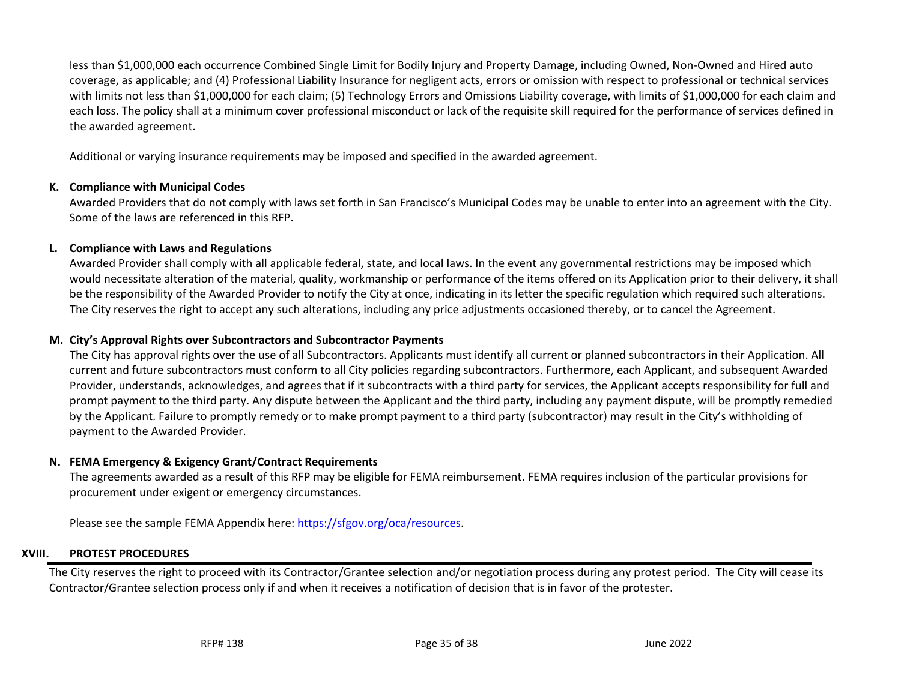less than \$1,000,000 each occurrence Combined Single Limit for Bodily Injury and Property Damage, including Owned, Non-Owned and Hired auto coverage, as applicable; and (4) Professional Liability Insurance for negligent acts, errors or omission with respect to professional or technical services with limits not less than \$1,000,000 for each claim; (5) Technology Errors and Omissions Liability coverage, with limits of \$1,000,000 for each claim and each loss. The policy shall at a minimum cover professional misconduct or lack of the requisite skill required for the performance of services defined in the awarded agreement.

Additional or varying insurance requirements may be imposed and specified in the awarded agreement.

## **K. Compliance with Municipal Codes**

Awarded Providers that do not comply with laws set forth in San Francisco's Municipal Codes may be unable to enter into an agreement with the City. Some of the laws are referenced in this RFP.

### **L. Compliance with Laws and Regulations**

Awarded Provider shall comply with all applicable federal, state, and local laws. In the event any governmental restrictions may be imposed which would necessitate alteration of the material, quality, workmanship or performance of the items offered on its Application prior to their delivery, it shall be the responsibility of the Awarded Provider to notify the City at once, indicating in its letter the specific regulation which required such alterations. The City reserves the right to accept any such alterations, including any price adjustments occasioned thereby, or to cancel the Agreement.

#### **M. City's Approval Rights over Subcontractors and Subcontractor Payments**

<span id="page-34-0"></span>The City has approval rights over the use of all Subcontractors. Applicants must identify all current or planned subcontractors in their Application. All current and future subcontractors must conform to all City policies regarding subcontractors. Furthermore, each Applicant, and subsequent Awarded Provider, understands, acknowledges, and agrees that if it subcontracts with a third party for services, the Applicant accepts responsibility for full and prompt payment to the third party. Any dispute between the Applicant and the third party, including any payment dispute, will be promptly remedied by the Applicant. Failure to promptly remedy or to make prompt payment to a third party (subcontractor) may result in the City's withholding of payment to the Awarded Provider.

#### <span id="page-34-1"></span>**N. FEMA Emergency & Exigency Grant/Contract Requirements**

The agreements awarded as a result of this RFP may be eligible for FEMA reimbursement. FEMA requires inclusion of the particular provisions for procurement under exigent or emergency circumstances.

<span id="page-34-2"></span>Please see the sample FEMA Appendix here: [https://sfgov.org/oca/resources.](https://sfgov.org/oca/resources)

#### **XVIII. PROTEST PROCEDURES**

<span id="page-34-4"></span><span id="page-34-3"></span>The City reserves the right to proceed with its Contractor/Grantee selection and/or negotiation process during any protest period. The City will cease its Contractor/Grantee selection process only if and when it receives a notification of decision that is in favor of the protester.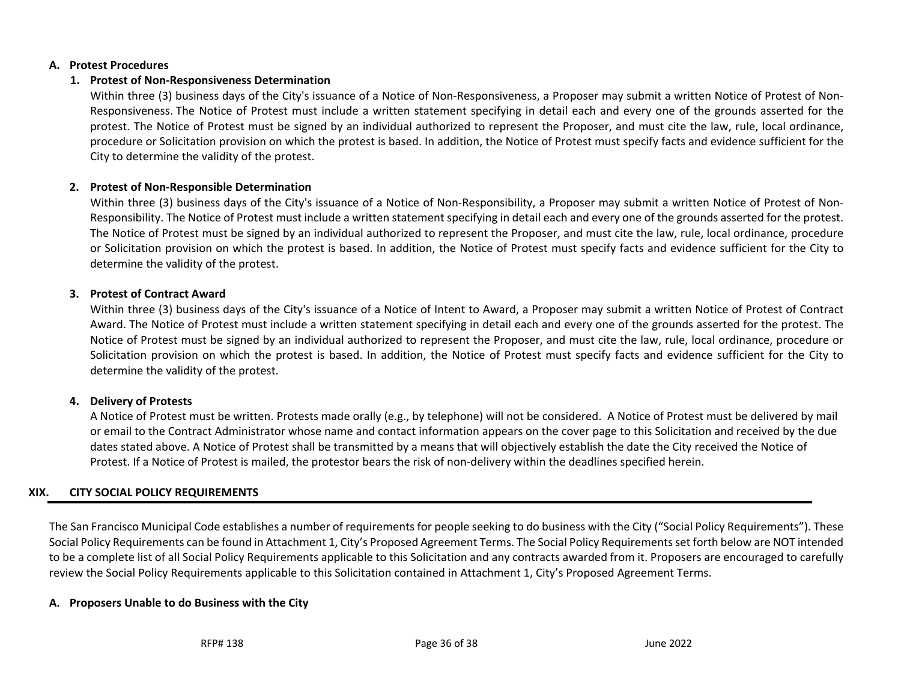### **A. Protest Procedures**

## **1. Protest of Non-Responsiveness Determination**

Within three (3) business days of the City's issuance of a Notice of Non-Responsiveness, a Proposer may submit a written Notice of Protest of Non-Responsiveness. The Notice of Protest must include a written statement specifying in detail each and every one of the grounds asserted for the protest. The Notice of Protest must be signed by an individual authorized to represent the Proposer, and must cite the law, rule, local ordinance, procedure or Solicitation provision on which the protest is based. In addition, the Notice of Protest must specify facts and evidence sufficient for the City to determine the validity of the protest.

## **2. Protest of Non-Responsible Determination**

Within three (3) business days of the City's issuance of a Notice of Non-Responsibility, a Proposer may submit a written Notice of Protest of Non-Responsibility. The Notice of Protest must include a written statement specifying in detail each and every one of the grounds asserted for the protest. The Notice of Protest must be signed by an individual authorized to represent the Proposer, and must cite the law, rule, local ordinance, procedure or Solicitation provision on which the protest is based. In addition, the Notice of Protest must specify facts and evidence sufficient for the City to determine the validity of the protest.

## <span id="page-35-0"></span>**3. Protest of Contract Award**

Within three (3) business days of the City's issuance of a Notice of Intent to Award, a Proposer may submit a written Notice of Protest of Contract Award. The Notice of Protest must include a written statement specifying in detail each and every one of the grounds asserted for the protest. The Notice of Protest must be signed by an individual authorized to represent the Proposer, and must cite the law, rule, local ordinance, procedure or Solicitation provision on which the protest is based. In addition, the Notice of Protest must specify facts and evidence sufficient for the City to determine the validity of the protest.

## **4. Delivery of Protests**

A Notice of Protest must be written. Protests made orally (e.g., by telephone) will not be considered. A Notice of Protest must be delivered by mail or email to the Contract Administrator whose name and contact information appears on the cover page to this Solicitation and received by the due dates stated above. A Notice of Protest shall be transmitted by a means that will objectively establish the date the City received the Notice of Protest. If a Notice of Protest is mailed, the protestor bears the risk of non-delivery within the deadlines specified herein.

# **XIX. CITY SOCIAL POLICY REQUIREMENTS**

The San Francisco Municipal Code establishes a number of requirements for people seeking to do business with the City ("Social Policy Requirements"). These Social Policy Requirements can be found in Attachment 1, City's Proposed Agreement Terms. The Social Policy Requirements set forth below are NOT intended to be a complete list of all Social Policy Requirements applicable to this Solicitation and any contracts awarded from it. Proposers are encouraged to carefully review the Social Policy Requirements applicable to this Solicitation contained in Attachment 1, City's Proposed Agreement Terms.

# <span id="page-35-2"></span><span id="page-35-1"></span>**A. Proposers Unable to do Business with the City**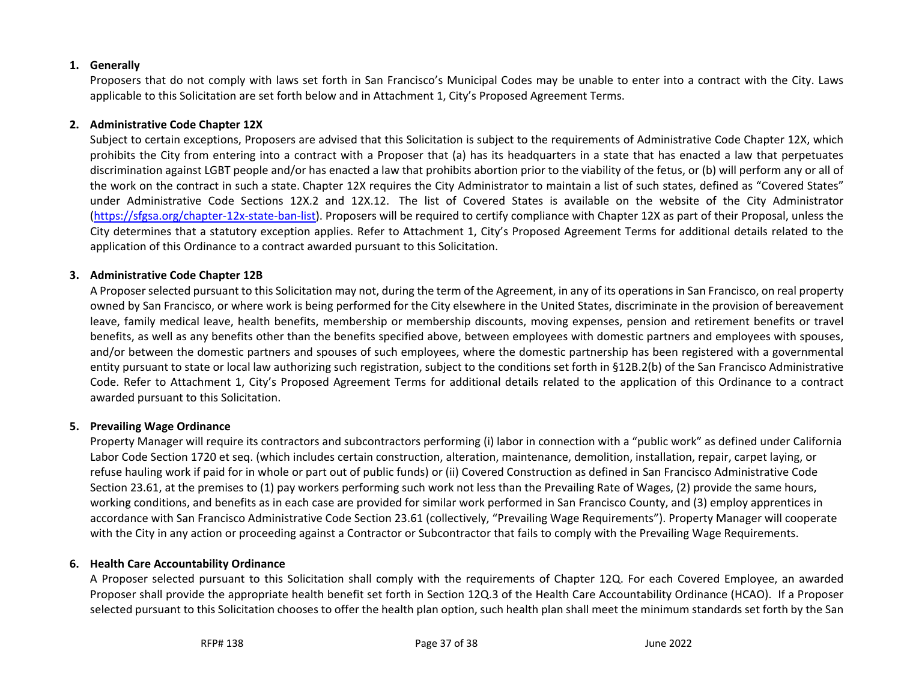## **1. Generally**

Proposers that do not comply with laws set forth in San Francisco's Municipal Codes may be unable to enter into a contract with the City. Laws applicable to this Solicitation are set forth below and in Attachment 1, City's Proposed Agreement Terms.

## **2. Administrative Code Chapter 12X**

Subject to certain exceptions, Proposers are advised that this Solicitation is subject to the requirements of Administrative Code Chapter 12X, which prohibits the City from entering into a contract with a Proposer that (a) has its headquarters in a state that has enacted a law that perpetuates discrimination against LGBT people and/or has enacted a law that prohibits abortion prior to the viability of the fetus, or (b) will perform any or all of the work on the contract in such a state. Chapter 12X requires the City Administrator to maintain a list of such states, defined as "Covered States" under Administrative Code Sections 12X.2 and 12X.12. The list of Covered States is available on the website of the City Administrator [\(https://sfgsa.org/chapter-12x-state-ban-list\)](https://sfgsa.org/chapter-12x-state-ban-list). Proposers will be required to certify compliance with Chapter 12X as part of their Proposal, unless the City determines that a statutory exception applies. Refer to Attachment 1, City's Proposed Agreement Terms for additional details related to the application of this Ordinance to a contract awarded pursuant to this Solicitation.

## **3. Administrative Code Chapter 12B**

A Proposer selected pursuant to this Solicitation may not, during the term of the Agreement, in any of its operations in San Francisco, on real property owned by San Francisco, or where work is being performed for the City elsewhere in the United States, discriminate in the provision of bereavement leave, family medical leave, health benefits, membership or membership discounts, moving expenses, pension and retirement benefits or travel benefits, as well as any benefits other than the benefits specified above, between employees with domestic partners and employees with spouses, and/or between the domestic partners and spouses of such employees, where the domestic partnership has been registered with a governmental entity pursuant to state or local law authorizing such registration, subject to the conditions set forth in §12B.2(b) of the San Francisco Administrative Code. Refer to Attachment 1, City's Proposed Agreement Terms for additional details related to the application of this Ordinance to a contract awarded pursuant to this Solicitation.

# **5. Prevailing Wage Ordinance**

Property Manager will require its contractors and subcontractors performing (i) labor in connection with a "public work" as defined under California Labor Code Section 1720 et seq. (which includes certain construction, alteration, maintenance, demolition, installation, repair, carpet laying, or refuse hauling work if paid for in whole or part out of public funds) or (ii) Covered Construction as defined in San Francisco Administrative Code Section 23.61, at the premises to (1) pay workers performing such work not less than the Prevailing Rate of Wages, (2) provide the same hours, working conditions, and benefits as in each case are provided for similar work performed in San Francisco County, and (3) employ apprentices in accordance with San Francisco Administrative Code Section 23.61 (collectively, "Prevailing Wage Requirements"). Property Manager will cooperate with the City in any action or proceeding against a Contractor or Subcontractor that fails to comply with the Prevailing Wage Requirements.

# **6. Health Care Accountability Ordinance**

A Proposer selected pursuant to this Solicitation shall comply with the requirements of Chapter 12Q. For each Covered Employee, an awarded Proposer shall provide the appropriate health benefit set forth in Section 12Q.3 of the Health Care Accountability Ordinance (HCAO). If a Proposer selected pursuant to this Solicitation chooses to offer the health plan option, such health plan shall meet the minimum standards set forth by the San